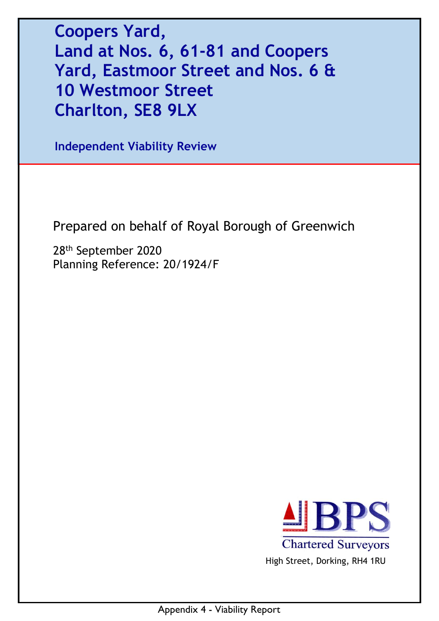**Coopers Yard, Land at Nos. 6, 61-81 and Coopers Yard, Eastmoor Street and Nos. 6 & 10 Westmoor Street Charlton, SE8 9LX** 

**Independent Viability Review** 

Prepared on behalf of Royal Borough of Greenwich

28th September 2020 Planning Reference: 20/1924/F



High Street, Dorking, RH4 1RU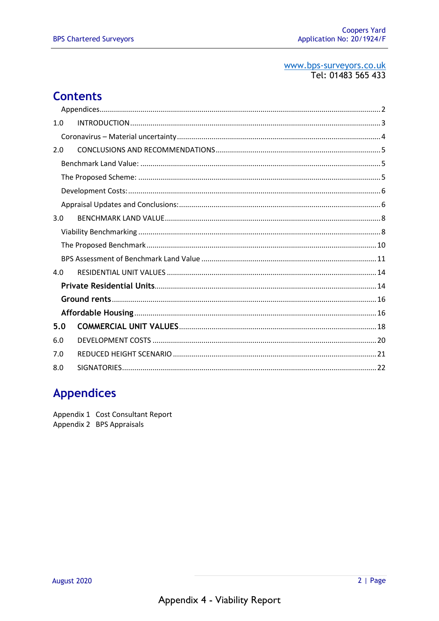#### www.bps-surveyors.co.uk Tel: 01483 565 433

## **Contents**

| 1.0 |  |
|-----|--|
|     |  |
| 2.0 |  |
|     |  |
|     |  |
|     |  |
|     |  |
| 3.0 |  |
|     |  |
|     |  |
|     |  |
| 4.0 |  |
|     |  |
|     |  |
|     |  |
| 5.0 |  |
| 6.0 |  |
| 7.0 |  |
| 8.0 |  |

## **Appendices**

Appendix 1 Cost Consultant Report Appendix 2 BPS Appraisals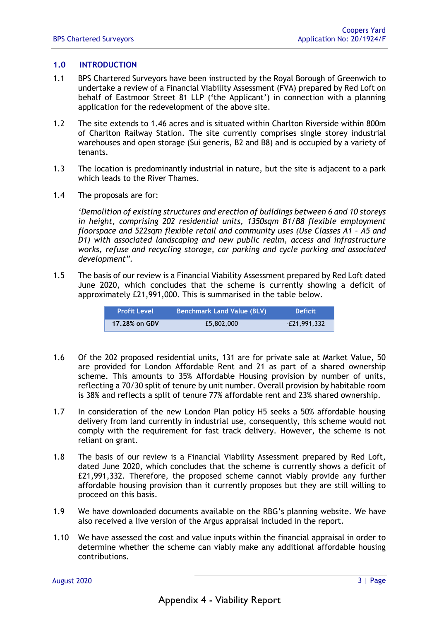#### **1.0 INTRODUCTION**

- 1.1 BPS Chartered Surveyors have been instructed by the Royal Borough of Greenwich to undertake a review of a Financial Viability Assessment (FVA) prepared by Red Loft on behalf of Eastmoor Street 81 LLP ('the Applicant') in connection with a planning application for the redevelopment of the above site.
- 1.2 The site extends to 1.46 acres and is situated within Charlton Riverside within 800m of Charlton Railway Station. The site currently comprises single storey industrial warehouses and open storage (Sui generis, B2 and B8) and is occupied by a variety of tenants.
- 1.3 The location is predominantly industrial in nature, but the site is adjacent to a park which leads to the River Thames.
- 1.4 The proposals are for:

*'Demolition of existing structures and erection of buildings between 6 and 10 storeys in height, comprising 202 residential units, 1350sqm B1/B8 flexible employment floorspace and 522sqm flexible retail and community uses (Use Classes A1 – A5 and D1) with associated landscaping and new public realm, access and infrastructure works, refuse and recycling storage, car parking and cycle parking and associated development".*

1.5 The basis of our review is a Financial Viability Assessment prepared by Red Loft dated June 2020, which concludes that the scheme is currently showing a deficit of approximately £21,991,000. This is summarised in the table below.

| <b>Profit Level</b> | Benchmark Land Value (BLV) | <b>Deficit</b> |
|---------------------|----------------------------|----------------|
| 17.28% on GDV       | £5,802,000                 | $-E21.991.332$ |

- 1.6 Of the 202 proposed residential units, 131 are for private sale at Market Value, 50 are provided for London Affordable Rent and 21 as part of a shared ownership scheme. This amounts to 35% Affordable Housing provision by number of units, reflecting a 70/30 split of tenure by unit number. Overall provision by habitable room is 38% and reflects a split of tenure 77% affordable rent and 23% shared ownership.
- 1.7 In consideration of the new London Plan policy H5 seeks a 50% affordable housing delivery from land currently in industrial use, consequently, this scheme would not comply with the requirement for fast track delivery. However, the scheme is not reliant on grant.
- 1.8 The basis of our review is a Financial Viability Assessment prepared by Red Loft, dated June 2020, which concludes that the scheme is currently shows a deficit of £21,991,332. Therefore, the proposed scheme cannot viably provide any further affordable housing provision than it currently proposes but they are still willing to proceed on this basis.
- 1.9 We have downloaded documents available on the RBG's planning website. We have also received a live version of the Argus appraisal included in the report.
- 1.10 We have assessed the cost and value inputs within the financial appraisal in order to determine whether the scheme can viably make any additional affordable housing contributions.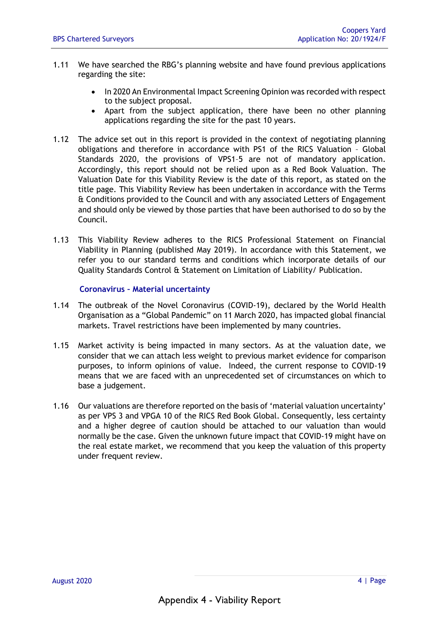- 1.11 We have searched the RBG's planning website and have found previous applications regarding the site:
	- In 2020 An Environmental Impact Screening Opinion was recorded with respect to the subject proposal.
	- Apart from the subject application, there have been no other planning applications regarding the site for the past 10 years.
- 1.12 The advice set out in this report is provided in the context of negotiating planning obligations and therefore in accordance with PS1 of the RICS Valuation – Global Standards 2020, the provisions of VPS1–5 are not of mandatory application. Accordingly, this report should not be relied upon as a Red Book Valuation. The Valuation Date for this Viability Review is the date of this report, as stated on the title page. This Viability Review has been undertaken in accordance with the Terms & Conditions provided to the Council and with any associated Letters of Engagement and should only be viewed by those parties that have been authorised to do so by the Council.
- 1.13 This Viability Review adheres to the RICS Professional Statement on Financial Viability in Planning (published May 2019). In accordance with this Statement, we refer you to our standard terms and conditions which incorporate details of our Quality Standards Control & Statement on Limitation of Liability/ Publication.

#### **Coronavirus – Material uncertainty**

- 1.14 The outbreak of the Novel Coronavirus (COVID-19), declared by the World Health Organisation as a "Global Pandemic" on 11 March 2020, has impacted global financial markets. Travel restrictions have been implemented by many countries.
- 1.15 Market activity is being impacted in many sectors. As at the valuation date, we consider that we can attach less weight to previous market evidence for comparison purposes, to inform opinions of value. Indeed, the current response to COVID-19 means that we are faced with an unprecedented set of circumstances on which to base a judgement.
- 1.16 Our valuations are therefore reported on the basis of 'material valuation uncertainty' as per VPS 3 and VPGA 10 of the RICS Red Book Global. Consequently, less certainty and a higher degree of caution should be attached to our valuation than would normally be the case. Given the unknown future impact that COVID-19 might have on the real estate market, we recommend that you keep the valuation of this property under frequent review.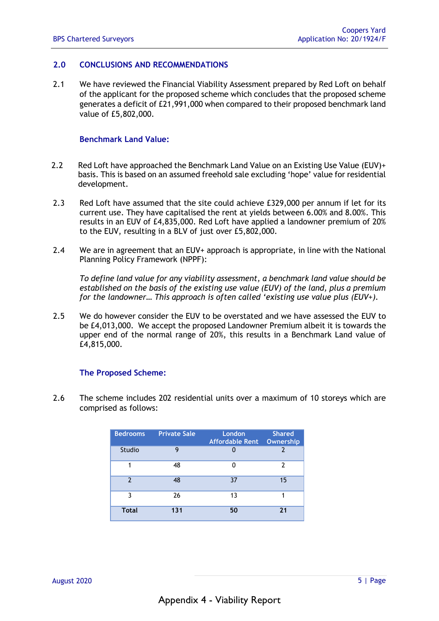### **2.0 CONCLUSIONS AND RECOMMENDATIONS**

2.1 We have reviewed the Financial Viability Assessment prepared by Red Loft on behalf of the applicant for the proposed scheme which concludes that the proposed scheme generates a deficit of £21,991,000 when compared to their proposed benchmark land value of £5,802,000.

#### **Benchmark Land Value:**

- 2.2 Red Loft have approached the Benchmark Land Value on an Existing Use Value (EUV)+ basis. This is based on an assumed freehold sale excluding 'hope' value for residential development.
- 2.3 Red Loft have assumed that the site could achieve £329,000 per annum if let for its current use. They have capitalised the rent at yields between 6.00% and 8.00%. This results in an EUV of £4,835,000. Red Loft have applied a landowner premium of 20% to the EUV, resulting in a BLV of just over £5,802,000.
- 2.4 We are in agreement that an EUV+ approach is appropriate, in line with the National Planning Policy Framework (NPPF):

*To define land value for any viability assessment, a benchmark land value should be established on the basis of the existing use value (EUV) of the land, plus a premium for the landowner… This approach is often called 'existing use value plus (EUV+).*

2.5 We do however consider the EUV to be overstated and we have assessed the EUV to be £4,013,000. We accept the proposed Landowner Premium albeit it is towards the upper end of the normal range of 20%, this results in a Benchmark Land value of £4,815,000.

### **The Proposed Scheme:**

2.6 The scheme includes 202 residential units over a maximum of 10 storeys which are comprised as follows:

| <b>Bedrooms</b> | <b>Private Sale</b> | <b>London</b><br><b>Affordable Rent</b> | <b>Shared</b><br>Ownership |
|-----------------|---------------------|-----------------------------------------|----------------------------|
| Studio          | 9                   |                                         |                            |
|                 | 48                  |                                         | 7                          |
| $\mathcal{P}$   | 48                  | 37                                      | 15                         |
| ٦               | 26                  | 13                                      |                            |
| <b>Total</b>    | 131                 | 50                                      | 21                         |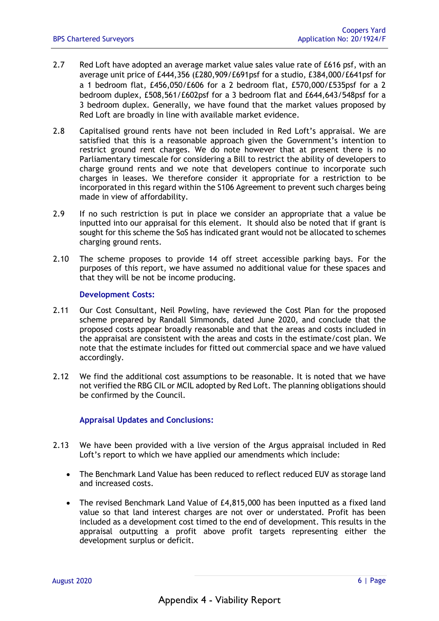- 2.7 Red Loft have adopted an average market value sales value rate of £616 psf, with an average unit price of £444,356 (£280,909/£691psf for a studio, £384,000/£641psf for a 1 bedroom flat, £456,050/£606 for a 2 bedroom flat, £570,000/£535psf for a 2 bedroom duplex, £508,561/£602psf for a 3 bedroom flat and £644,643/548psf for a 3 bedroom duplex. Generally, we have found that the market values proposed by Red Loft are broadly in line with available market evidence.
- 2.8 Capitalised ground rents have not been included in Red Loft's appraisal. We are satisfied that this is a reasonable approach given the Government's intention to restrict ground rent charges. We do note however that at present there is no Parliamentary timescale for considering a Bill to restrict the ability of developers to charge ground rents and we note that developers continue to incorporate such charges in leases. We therefore consider it appropriate for a restriction to be incorporated in this regard within the S106 Agreement to prevent such charges being made in view of affordability.
- 2.9 If no such restriction is put in place we consider an appropriate that a value be inputted into our appraisal for this element. It should also be noted that if grant is sought for this scheme the SoS has indicated grant would not be allocated to schemes charging ground rents.
- 2.10 The scheme proposes to provide 14 off street accessible parking bays. For the purposes of this report, we have assumed no additional value for these spaces and that they will be not be income producing.

#### **Development Costs:**

- 2.11 Our Cost Consultant, Neil Powling, have reviewed the Cost Plan for the proposed scheme prepared by Randall Simmonds, dated June 2020, and conclude that the proposed costs appear broadly reasonable and that the areas and costs included in the appraisal are consistent with the areas and costs in the estimate/cost plan. We note that the estimate includes for fitted out commercial space and we have valued accordingly.
- 2.12 We find the additional cost assumptions to be reasonable. It is noted that we have not verified the RBG CIL or MCIL adopted by Red Loft. The planning obligations should be confirmed by the Council.

### **Appraisal Updates and Conclusions:**

- 2.13 We have been provided with a live version of the Argus appraisal included in Red Loft's report to which we have applied our amendments which include:
	- The Benchmark Land Value has been reduced to reflect reduced EUV as storage land and increased costs.
	- The revised Benchmark Land Value of £4,815,000 has been inputted as a fixed land value so that land interest charges are not over or understated. Profit has been included as a development cost timed to the end of development. This results in the appraisal outputting a profit above profit targets representing either the development surplus or deficit.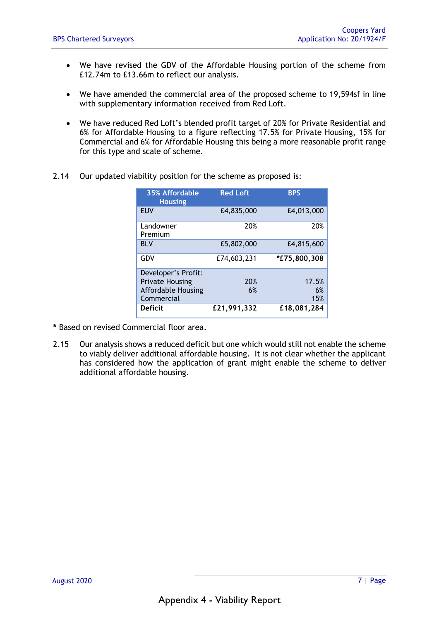- We have revised the GDV of the Affordable Housing portion of the scheme from £12.74m to £13.66m to reflect our analysis.
- We have amended the commercial area of the proposed scheme to 19,594sf in line with supplementary information received from Red Loft.
- We have reduced Red Loft's blended profit target of 20% for Private Residential and 6% for Affordable Housing to a figure reflecting 17.5% for Private Housing, 15% for Commercial and 6% for Affordable Housing this being a more reasonable profit range for this type and scale of scheme.
- 2.14 Our updated viability position for the scheme as proposed is:

| 35% Affordable<br><b>Housing</b> | <b>Red Loft</b> | <b>BPS</b>   |
|----------------------------------|-----------------|--------------|
| <b>EUV</b>                       | £4,835,000      | £4,013,000   |
| Landowner<br>Premium             | 20%             | 20%          |
| <b>BLV</b>                       | £5,802,000      | £4,815,600   |
| GDV                              | £74,603,231     | *£75,800,308 |
| Developer's Profit:              |                 |              |
| <b>Private Housing</b>           | 20%             | 17.5%        |
| <b>Affordable Housing</b>        | 6%              | 6%           |
| Commercial                       |                 | 15%          |
| <b>Deficit</b>                   | £21,991,332     | £18,081,284  |

- **\*** Based on revised Commercial floor area.
- 2.15 Our analysis shows a reduced deficit but one which would still not enable the scheme to viably deliver additional affordable housing. It is not clear whether the applicant has considered how the application of grant might enable the scheme to deliver additional affordable housing.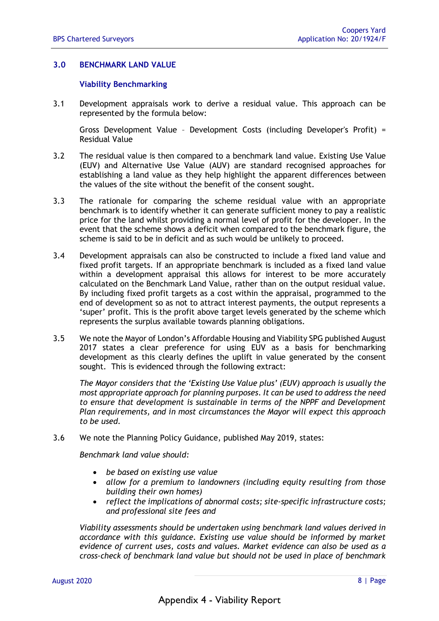#### **3.0 BENCHMARK LAND VALUE**

#### **Viability Benchmarking**

3.1 Development appraisals work to derive a residual value. This approach can be represented by the formula below:

Gross Development Value – Development Costs (including Developer's Profit) = Residual Value

- 3.2 The residual value is then compared to a benchmark land value. Existing Use Value (EUV) and Alternative Use Value (AUV) are standard recognised approaches for establishing a land value as they help highlight the apparent differences between the values of the site without the benefit of the consent sought.
- 3.3 The rationale for comparing the scheme residual value with an appropriate benchmark is to identify whether it can generate sufficient money to pay a realistic price for the land whilst providing a normal level of profit for the developer. In the event that the scheme shows a deficit when compared to the benchmark figure, the scheme is said to be in deficit and as such would be unlikely to proceed.
- 3.4 Development appraisals can also be constructed to include a fixed land value and fixed profit targets. If an appropriate benchmark is included as a fixed land value within a development appraisal this allows for interest to be more accurately calculated on the Benchmark Land Value, rather than on the output residual value. By including fixed profit targets as a cost within the appraisal, programmed to the end of development so as not to attract interest payments, the output represents a 'super' profit. This is the profit above target levels generated by the scheme which represents the surplus available towards planning obligations.
- 3.5 We note the Mayor of London's Affordable Housing and Viability SPG published August 2017 states a clear preference for using EUV as a basis for benchmarking development as this clearly defines the uplift in value generated by the consent sought. This is evidenced through the following extract:

*The Mayor considers that the 'Existing Use Value plus' (EUV) approach is usually the most appropriate approach for planning purposes. It can be used to address the need to ensure that development is sustainable in terms of the NPPF and Development Plan requirements, and in most circumstances the Mayor will expect this approach to be used.*

3.6 We note the Planning Policy Guidance, published May 2019, states:

*Benchmark land value should:* 

- *be based on existing use value*
- *allow for a premium to landowners (including equity resulting from those building their own homes)*
- *reflect the implications of abnormal costs; site-specific infrastructure costs; and professional site fees and*

*Viability assessments should be undertaken using benchmark land values derived in accordance with this guidance. Existing use value should be informed by market evidence of current uses, costs and values. Market evidence can also be used as a cross-check of benchmark land value but should not be used in place of benchmark*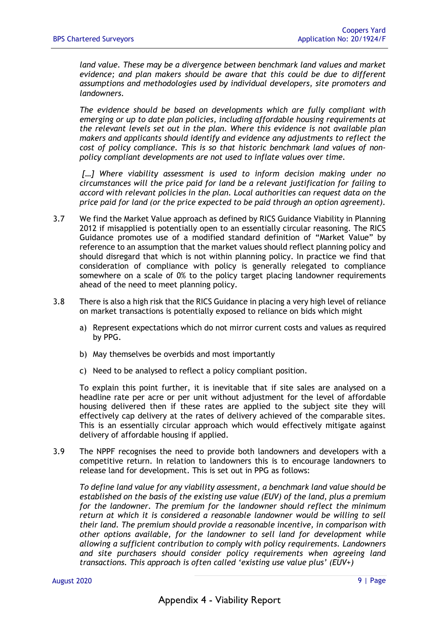*land value. These may be a divergence between benchmark land values and market evidence; and plan makers should be aware that this could be due to different assumptions and methodologies used by individual developers, site promoters and landowners.* 

*The evidence should be based on developments which are fully compliant with emerging or up to date plan policies, including affordable housing requirements at the relevant levels set out in the plan. Where this evidence is not available plan makers and applicants should identify and evidence any adjustments to reflect the cost of policy compliance. This is so that historic benchmark land values of nonpolicy compliant developments are not used to inflate values over time.* 

*[…] Where viability assessment is used to inform decision making under no circumstances will the price paid for land be a relevant justification for failing to accord with relevant policies in the plan. Local authorities can request data on the price paid for land (or the price expected to be paid through an option agreement).* 

- 3.7 We find the Market Value approach as defined by RICS Guidance Viability in Planning 2012 if misapplied is potentially open to an essentially circular reasoning. The RICS Guidance promotes use of a modified standard definition of "Market Value" by reference to an assumption that the market values should reflect planning policy and should disregard that which is not within planning policy. In practice we find that consideration of compliance with policy is generally relegated to compliance somewhere on a scale of 0% to the policy target placing landowner requirements ahead of the need to meet planning policy.
- 3.8 There is also a high risk that the RICS Guidance in placing a very high level of reliance on market transactions is potentially exposed to reliance on bids which might
	- a) Represent expectations which do not mirror current costs and values as required by PPG.
	- b) May themselves be overbids and most importantly
	- c) Need to be analysed to reflect a policy compliant position.

To explain this point further, it is inevitable that if site sales are analysed on a headline rate per acre or per unit without adjustment for the level of affordable housing delivered then if these rates are applied to the subject site they will effectively cap delivery at the rates of delivery achieved of the comparable sites. This is an essentially circular approach which would effectively mitigate against delivery of affordable housing if applied.

3.9 The NPPF recognises the need to provide both landowners and developers with a competitive return. In relation to landowners this is to encourage landowners to release land for development. This is set out in PPG as follows:

*To define land value for any viability assessment, a benchmark land value should be established on the basis of the existing use value (EUV) of the land, plus a premium for the landowner. The premium for the landowner should reflect the minimum return at which it is considered a reasonable landowner would be willing to sell their land. The premium should provide a reasonable incentive, in comparison with other options available, for the landowner to sell land for development while allowing a sufficient contribution to comply with policy requirements. Landowners and site purchasers should consider policy requirements when agreeing land transactions. This approach is often called 'existing use value plus' (EUV+)*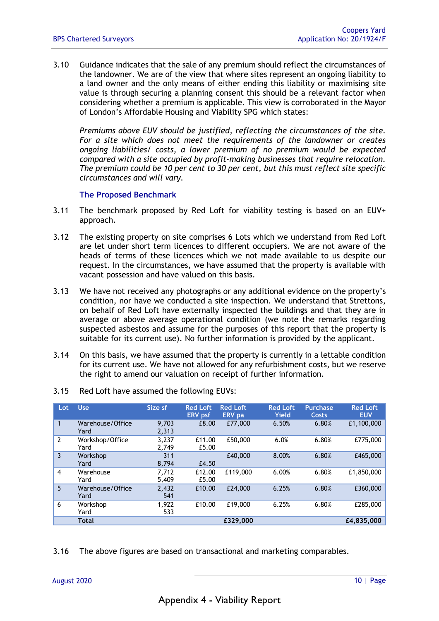3.10 Guidance indicates that the sale of any premium should reflect the circumstances of the landowner. We are of the view that where sites represent an ongoing liability to a land owner and the only means of either ending this liability or maximising site value is through securing a planning consent this should be a relevant factor when considering whether a premium is applicable. This view is corroborated in the Mayor of London's Affordable Housing and Viability SPG which states:

*Premiums above EUV should be justified, reflecting the circumstances of the site. For a site which does not meet the requirements of the landowner or creates ongoing liabilities/ costs, a lower premium of no premium would be expected compared with a site occupied by profit-making businesses that require relocation. The premium could be 10 per cent to 30 per cent, but this must reflect site specific circumstances and will vary.* 

#### **The Proposed Benchmark**

- 3.11 The benchmark proposed by Red Loft for viability testing is based on an EUV+ approach.
- 3.12 The existing property on site comprises 6 Lots which we understand from Red Loft are let under short term licences to different occupiers. We are not aware of the heads of terms of these licences which we not made available to us despite our request. In the circumstances, we have assumed that the property is available with vacant possession and have valued on this basis.
- 3.13 We have not received any photographs or any additional evidence on the property's condition, nor have we conducted a site inspection. We understand that Strettons, on behalf of Red Loft have externally inspected the buildings and that they are in average or above average operational condition (we note the remarks regarding suspected asbestos and assume for the purposes of this report that the property is suitable for its current use). No further information is provided by the applicant.
- 3.14 On this basis, we have assumed that the property is currently in a lettable condition for its current use. We have not allowed for any refurbishment costs, but we reserve the right to amend our valuation on receipt of further information.

| Lot            | <b>Use</b>               | Size sf        | <b>Red Loft</b><br><b>ERV</b> psf | <b>Red Loft</b><br><b>ERV</b> pa | <b>Red Loft</b><br><b>Yield</b> | <b>Purchase</b><br>Costs | <b>Red Loft</b><br><b>EUV</b> |
|----------------|--------------------------|----------------|-----------------------------------|----------------------------------|---------------------------------|--------------------------|-------------------------------|
| 1              | Warehouse/Office<br>Yard | 9.703<br>2,313 | £8.00                             | £77,000                          | 6.50%                           | 6.80%                    | £1,100,000                    |
| $\overline{2}$ | Workshop/Office<br>Yard  | 3.237<br>2,749 | £11.00<br>£5.00                   | £50,000                          | 6.0%                            | 6.80%                    | £775,000                      |
| 3              | Workshop<br>Yard         | 311<br>8,794   | £4.50                             | £40,000                          | 8.00%                           | 6.80%                    | £465,000                      |
| 4              | Warehouse<br>Yard        | 7.712<br>5,409 | £12.00<br>£5.00                   | £119,000                         | 6.00%                           | 6.80%                    | £1,850,000                    |
| 5              | Warehouse/Office<br>Yard | 2,432<br>541   | £10.00                            | £24,000                          | 6.25%                           | 6.80%                    | £360,000                      |
| 6              | Workshop<br>Yard         | 1,922<br>533   | £10.00                            | £19,000                          | 6.25%                           | 6.80%                    | £285,000                      |
|                | <b>Total</b>             |                |                                   | £329,000                         |                                 |                          | £4.835,000                    |

3.15 Red Loft have assumed the following EUVs:

3.16 The above figures are based on transactional and marketing comparables.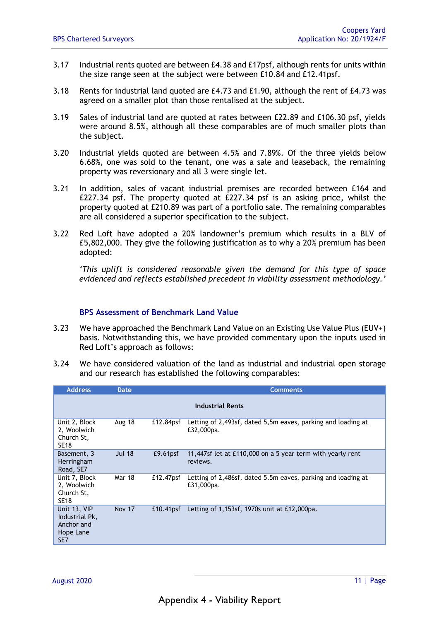- 3.17 Industrial rents quoted are between £4.38 and £17psf, although rents for units within the size range seen at the subject were between £10.84 and £12.41psf.
- 3.18 Rents for industrial land quoted are £4.73 and £1.90, although the rent of £4.73 was agreed on a smaller plot than those rentalised at the subject.
- 3.19 Sales of industrial land are quoted at rates between £22.89 and £106.30 psf, yields were around 8.5%, although all these comparables are of much smaller plots than the subject.
- 3.20 Industrial yields quoted are between 4.5% and 7.89%. Of the three yields below 6.68%, one was sold to the tenant, one was a sale and leaseback, the remaining property was reversionary and all 3 were single let.
- 3.21 In addition, sales of vacant industrial premises are recorded between £164 and £227.34 psf. The property quoted at £227.34 psf is an asking price, whilst the property quoted at £210.89 was part of a portfolio sale. The remaining comparables are all considered a superior specification to the subject.
- 3.22 Red Loft have adopted a 20% landowner's premium which results in a BLV of £5,802,000. They give the following justification as to why a 20% premium has been adopted:

*'This uplift is considered reasonable given the demand for this type of space evidenced and reflects established precedent in viability assessment methodology.'*

#### **BPS Assessment of Benchmark Land Value**

- 3.23 We have approached the Benchmark Land Value on an Existing Use Value Plus (EUV+) basis. Notwithstanding this, we have provided commentary upon the inputs used in Red Loft's approach as follows:
- 3.24 We have considered valuation of the land as industrial and industrial open storage and our research has established the following comparables:

| <b>Address</b>                                                   | Date          | <b>Comments</b>      |                                                                            |  |  |  |  |
|------------------------------------------------------------------|---------------|----------------------|----------------------------------------------------------------------------|--|--|--|--|
|                                                                  |               |                      | <b>Industrial Rents</b>                                                    |  |  |  |  |
| Unit 2, Block<br>2, Woolwich<br>Church St,<br><b>SE18</b>        | Aug 18        | £12.84psf            | Letting of 2,493sf, dated 5,5m eaves, parking and loading at<br>£32,000pa. |  |  |  |  |
| Basement, 3<br>Herringham<br>Road, SE7                           | <b>Jul 18</b> | E9.61 <sub>psf</sub> | 11,447sf let at £110,000 on a 5 year term with yearly rent<br>reviews.     |  |  |  |  |
| Unit 7, Block<br>2, Woolwich<br>Church St,<br><b>SE18</b>        | Mar 18        | £12.47psf            | Letting of 2,486sf, dated 5.5m eaves, parking and loading at<br>£31,000pa. |  |  |  |  |
| Unit 13, VIP<br>Industrial Pk,<br>Anchor and<br>Hope Lane<br>SE7 | <b>Nov 17</b> | $£10.41$ psf         | Letting of 1,153sf, 1970s unit at £12,000pa.                               |  |  |  |  |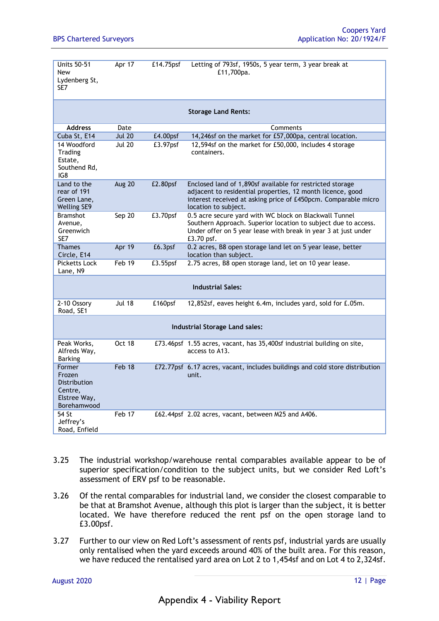| <b>Units 50-51</b><br><b>New</b><br>Lydenberg St,<br>SE7                   | Apr 17        | £14.75psf   | Letting of 793sf, 1950s, 5 year term, 3 year break at<br>£11,700pa.                                                                                                                                               |
|----------------------------------------------------------------------------|---------------|-------------|-------------------------------------------------------------------------------------------------------------------------------------------------------------------------------------------------------------------|
|                                                                            |               |             | <b>Storage Land Rents:</b>                                                                                                                                                                                        |
| <b>Address</b>                                                             | Date          |             | Comments                                                                                                                                                                                                          |
| Cuba St, E14                                                               | <b>Jul 20</b> | £4.00psf    | 14,246sf on the market for £57,000pa, central location.                                                                                                                                                           |
| 14 Woodford<br>Trading<br>Estate,<br>Southend Rd,<br>IG8                   | <b>Jul 20</b> | $E3.97$ psf | 12,594sf on the market for £50,000, includes 4 storage<br>containers.                                                                                                                                             |
| Land to the<br>rear of 191<br>Green Lane,<br><b>Welling SE9</b>            | Aug 20        | £2.80psf    | Enclosed land of 1,890sf available for restricted storage<br>adjacent to residential properties, 12 month licence, good<br>interest received at asking price of £450pcm. Comparable micro<br>location to subject. |
| <b>Bramshot</b><br>Avenue,<br>Greenwich<br>SE7                             | Sep 20        | £3.70psf    | 0.5 acre secure yard with WC block on Blackwall Tunnel<br>Southern Approach. Superior location to subject due to access.<br>Under offer on 5 year lease with break in year 3 at just under<br>£3.70 psf.          |
| <b>Thames</b><br>Circle, E14                                               | Apr 19        | £6.3psf     | 0.2 acres, B8 open storage land let on 5 year lease, better<br>location than subject.                                                                                                                             |
| <b>Picketts Lock</b><br>Lane, N9                                           | Feb 19        | £3.55psf    | 2.75 acres, B8 open storage land, let on 10 year lease.                                                                                                                                                           |
|                                                                            |               |             | <b>Industrial Sales:</b>                                                                                                                                                                                          |
| 2-10 Ossory<br>Road, SE1                                                   | <b>Jul 18</b> | £160psf     | 12,852sf, eaves height 6.4m, includes yard, sold for £.05m.                                                                                                                                                       |
|                                                                            |               |             | <b>Industrial Storage Land sales:</b>                                                                                                                                                                             |
| Peak Works,<br>Alfreds Way,<br><b>Barking</b>                              | <b>Oct 18</b> |             | £73.46psf 1.55 acres, vacant, has 35,400sf industrial building on site,<br>access to A13.                                                                                                                         |
| Former<br>Frozen<br>Distribution<br>Centre,<br>Elstree Way,<br>Borehamwood | Feb 18        |             | £72.77psf 6.17 acres, vacant, includes buildings and cold store distribution<br>unit.                                                                                                                             |
| 54 St<br>Jeffrey's<br>Road, Enfield                                        | Feb 17        |             | £62.44psf 2.02 acres, vacant, between M25 and A406.                                                                                                                                                               |

- 3.25 The industrial workshop/warehouse rental comparables available appear to be of superior specification/condition to the subject units, but we consider Red Loft's assessment of ERV psf to be reasonable.
- 3.26 Of the rental comparables for industrial land, we consider the closest comparable to be that at Bramshot Avenue, although this plot is larger than the subject, it is better located. We have therefore reduced the rent psf on the open storage land to £3.00psf.
- 3.27 Further to our view on Red Loft's assessment of rents psf, industrial yards are usually only rentalised when the yard exceeds around 40% of the built area. For this reason, we have reduced the rentalised yard area on Lot 2 to 1,454sf and on Lot 4 to 2,324sf.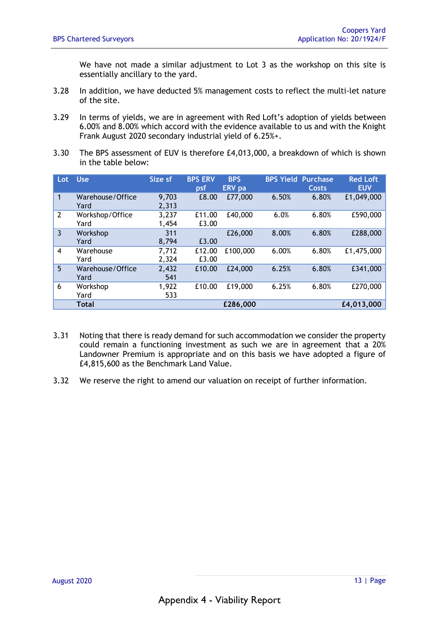We have not made a similar adjustment to Lot 3 as the workshop on this site is essentially ancillary to the yard.

- 3.28 In addition, we have deducted 5% management costs to reflect the multi-let nature of the site.
- 3.29 In terms of yields, we are in agreement with Red Loft's adoption of yields between 6.00% and 8.00% which accord with the evidence available to us and with the Knight Frank August 2020 secondary industrial yield of 6.25%+.
- 3.30 The BPS assessment of EUV is therefore £4,013,000, a breakdown of which is shown in the table below:

| Lot <sub>1</sub> | <b>Use</b>               | Size sf        | <b>BPS ERV</b><br>psf | <b>BPS</b><br><b>ERV</b> pa |       | <b>BPS Yield Purchase</b><br>Costs | <b>Red Loft</b><br><b>EUV</b> |
|------------------|--------------------------|----------------|-----------------------|-----------------------------|-------|------------------------------------|-------------------------------|
| 1                | Warehouse/Office<br>Yard | 9,703<br>2,313 | £8.00                 | £77,000                     | 6.50% | 6.80%                              | £1,049,000                    |
| $\overline{2}$   | Workshop/Office<br>Yard  | 3,237<br>1,454 | £11.00<br>£3.00       | £40,000                     | 6.0%  | 6.80%                              | £590,000                      |
| 3                | Workshop<br>Yard         | 311<br>8,794   | £3.00                 | £26,000                     | 8.00% | 6.80%                              | £288,000                      |
| 4                | Warehouse<br>Yard        | 7,712<br>2,324 | £12.00<br>£3.00       | £100,000                    | 6.00% | 6.80%                              | £1,475,000                    |
| 5                | Warehouse/Office<br>Yard | 2,432<br>541   | £10.00                | £24,000                     | 6.25% | 6.80%                              | £341,000                      |
| 6                | Workshop<br>Yard         | 1,922<br>533   | £10.00                | £19,000                     | 6.25% | 6.80%                              | £270,000                      |
|                  | <b>Total</b>             |                |                       | £286,000                    |       |                                    | £4,013,000                    |

- 3.31 Noting that there is ready demand for such accommodation we consider the property could remain a functioning investment as such we are in agreement that a 20% Landowner Premium is appropriate and on this basis we have adopted a figure of £4,815,600 as the Benchmark Land Value.
- 3.32 We reserve the right to amend our valuation on receipt of further information.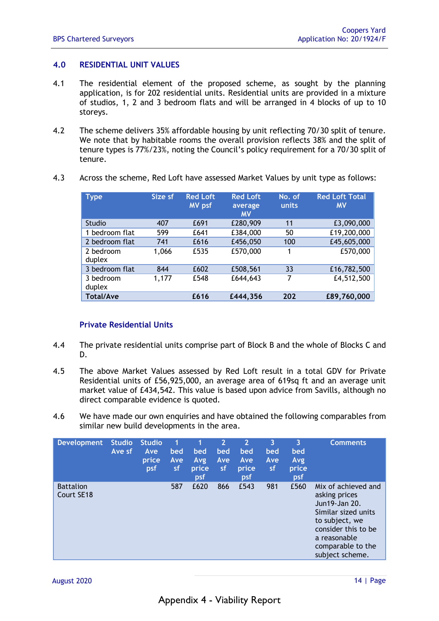#### **4.0 RESIDENTIAL UNIT VALUES**

- 4.1 The residential element of the proposed scheme, as sought by the planning application, is for 202 residential units. Residential units are provided in a mixture of studios, 1, 2 and 3 bedroom flats and will be arranged in 4 blocks of up to 10 storeys.
- 4.2 The scheme delivers 35% affordable housing by unit reflecting 70/30 split of tenure. We note that by habitable rooms the overall provision reflects 38% and the split of tenure types is 77%/23%, noting the Council's policy requirement for a 70/30 split of tenure.

| <b>Type</b>         | Size sf | <b>Red Loft</b><br><b>MV</b> psf | <b>Red Loft</b><br>average<br><b>MV</b> | No. of<br>units | <b>Red Loft Total</b><br><b>MV</b> |
|---------------------|---------|----------------------------------|-----------------------------------------|-----------------|------------------------------------|
| <b>Studio</b>       | 407     | £691                             | £280,909                                | 11              | £3,090,000                         |
| 1 bedroom flat      | 599     | £641                             | £384,000                                | 50              | £19,200,000                        |
| 2 bedroom flat      | 741     | £616                             | £456,050                                | 100             | £45,605,000                        |
| 2 bedroom<br>duplex | 1,066   | £535                             | £570,000                                | 1               | £570,000                           |
| 3 bedroom flat      | 844     | £602                             | £508,561                                | 33              | £16,782,500                        |
| 3 bedroom<br>duplex | 1,177   | £548                             | £644,643                                | 7               | £4,512,500                         |
| <b>Total/Ave</b>    |         | £616                             | £444,356                                | 202             | £89,760,000                        |

4.3 Across the scheme, Red Loft have assessed Market Values by unit type as follows:

### **Private Residential Units**

- 4.4 The private residential units comprise part of Block B and the whole of Blocks C and D.
- 4.5 The above Market Values assessed by Red Loft result in a total GDV for Private Residential units of £56,925,000, an average area of 619sq ft and an average unit market value of £434,542. This value is based upon advice from Savills, although no direct comparable evidence is quoted.
- 4.6 We have made our own enquiries and have obtained the following comparables from similar new build developments in the area.

| <b>Development</b>             | <b>Studio</b><br>Ave sf | <b>Studio</b><br>Ave<br>price<br>psf | 1<br>bed<br>Ave<br>sf | bed<br>Avg<br>price<br>psf | $\overline{2}$<br>bed<br>Ave<br>sf | $\mathbf{2}$<br>bed<br>Ave<br>price<br>psf | 3<br>bed<br>Ave<br>sf | 3<br>bed<br>Avg<br>price<br>psf | <b>Comments</b>                                                                                                                                                               |
|--------------------------------|-------------------------|--------------------------------------|-----------------------|----------------------------|------------------------------------|--------------------------------------------|-----------------------|---------------------------------|-------------------------------------------------------------------------------------------------------------------------------------------------------------------------------|
| <b>Battalion</b><br>Court SE18 |                         |                                      | 587                   | £620                       | 866                                | £543                                       | 981                   | £560                            | Mix of achieved and<br>asking prices<br>Jun19-Jan 20.<br>Similar sized units<br>to subject, we<br>consider this to be<br>a reasonable<br>comparable to the<br>subject scheme. |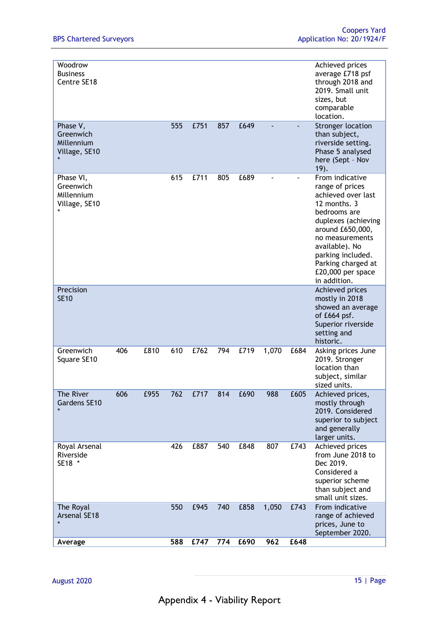| Woodrow<br><b>Business</b><br>Centre SE18             |     |      |     |      |     |      |       |      | Achieved prices<br>average £718 psf<br>through 2018 and<br>2019. Small unit<br>sizes, but<br>comparable<br>location.                                                                                                                                     |
|-------------------------------------------------------|-----|------|-----|------|-----|------|-------|------|----------------------------------------------------------------------------------------------------------------------------------------------------------------------------------------------------------------------------------------------------------|
| Phase V,<br>Greenwich<br>Millennium<br>Village, SE10  |     |      | 555 | £751 | 857 | £649 |       |      | <b>Stronger location</b><br>than subject,<br>riverside setting.<br>Phase 5 analysed<br>here (Sept - Nov<br>19.                                                                                                                                           |
| Phase VI,<br>Greenwich<br>Millennium<br>Village, SE10 |     |      | 615 | £711 | 805 | £689 |       |      | From indicative<br>range of prices<br>achieved over last<br>12 months, 3<br>bedrooms are<br>duplexes (achieving<br>around £650,000,<br>no measurements<br>available). No<br>parking included.<br>Parking charged at<br>£20,000 per space<br>in addition. |
| Precision<br><b>SE10</b>                              |     |      |     |      |     |      |       |      | Achieved prices<br>mostly in 2018<br>showed an average<br>of £664 psf.<br>Superior riverside<br>setting and<br>historic.                                                                                                                                 |
| Greenwich<br>Square SE10                              | 406 | £810 | 610 | £762 | 794 | £719 | 1,070 | £684 | Asking prices June<br>2019. Stronger<br>location than<br>subject, similar<br>sized units.                                                                                                                                                                |
| The River<br>Gardens SE10                             | 606 | £955 | 762 | £717 | 814 | £690 | 988   | £605 | Achieved prices,<br>mostly through<br>2019. Considered<br>superior to subject<br>and generally<br>larger units.                                                                                                                                          |
| Royal Arsenal<br>Riverside<br>SE18 *                  |     |      | 426 | £887 | 540 | £848 | 807   | £743 | Achieved prices<br>from June 2018 to<br>Dec 2019.<br>Considered a<br>superior scheme<br>than subject and<br>small unit sizes.                                                                                                                            |
| The Royal<br>Arsenal SE18<br>$\star$                  |     |      | 550 | £945 | 740 | £858 | 1,050 | £743 | From indicative<br>range of achieved<br>prices, June to<br>September 2020.                                                                                                                                                                               |
| Average                                               |     |      | 588 | £747 | 774 | £690 | 962   | £648 |                                                                                                                                                                                                                                                          |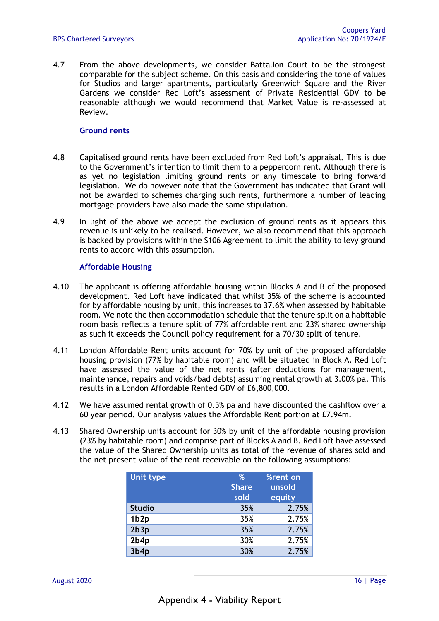4.7 From the above developments, we consider Battalion Court to be the strongest comparable for the subject scheme. On this basis and considering the tone of values for Studios and larger apartments, particularly Greenwich Square and the River Gardens we consider Red Loft's assessment of Private Residential GDV to be reasonable although we would recommend that Market Value is re-assessed at Review.

#### **Ground rents**

- 4.8 Capitalised ground rents have been excluded from Red Loft's appraisal. This is due to the Government's intention to limit them to a peppercorn rent. Although there is as yet no legislation limiting ground rents or any timescale to bring forward legislation. We do however note that the Government has indicated that Grant will not be awarded to schemes charging such rents, furthermore a number of leading mortgage providers have also made the same stipulation.
- 4.9 In light of the above we accept the exclusion of ground rents as it appears this revenue is unlikely to be realised. However, we also recommend that this approach is backed by provisions within the S106 Agreement to limit the ability to levy ground rents to accord with this assumption.

#### **Affordable Housing**

- 4.10 The applicant is offering affordable housing within Blocks A and B of the proposed development. Red Loft have indicated that whilst 35% of the scheme is accounted for by affordable housing by unit, this increases to 37.6% when assessed by habitable room. We note the then accommodation schedule that the tenure split on a habitable room basis reflects a tenure split of 77% affordable rent and 23% shared ownership as such it exceeds the Council policy requirement for a 70/30 split of tenure.
- 4.11 London Affordable Rent units account for 70% by unit of the proposed affordable housing provision (77% by habitable room) and will be situated in Block A. Red Loft have assessed the value of the net rents (after deductions for management, maintenance, repairs and voids/bad debts) assuming rental growth at 3.00% pa. This results in a London Affordable Rented GDV of £6,800,000.
- 4.12 We have assumed rental growth of 0.5% pa and have discounted the cashflow over a 60 year period. Our analysis values the Affordable Rent portion at £7.94m.
- 4.13 Shared Ownership units account for 30% by unit of the affordable housing provision (23% by habitable room) and comprise part of Blocks A and B. Red Loft have assessed the value of the Shared Ownership units as total of the revenue of shares sold and the net present value of the rent receivable on the following assumptions:

| Unit type        | %            | %rent on |
|------------------|--------------|----------|
|                  | <b>Share</b> | unsold   |
|                  | sold         | equity   |
| <b>Studio</b>    | 35%          | 2.75%    |
| 1b <sub>2p</sub> | 35%          | 2.75%    |
| 2b3p             | 35%          | 2.75%    |
| 2b4p             | 30%          | 2.75%    |
| 3b4p             | 30%          | 2.75%    |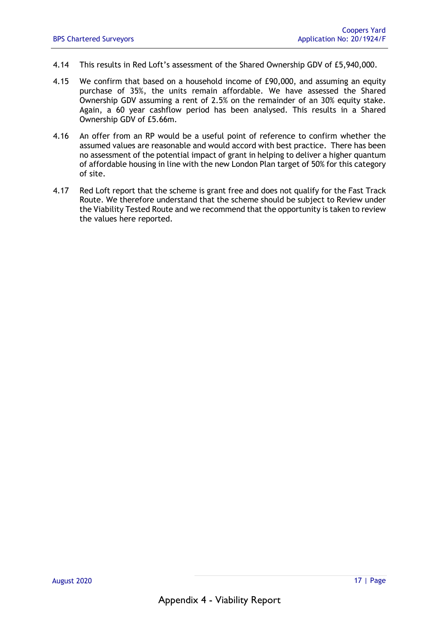- 4.14 This results in Red Loft's assessment of the Shared Ownership GDV of £5,940,000.
- 4.15 We confirm that based on a household income of £90,000, and assuming an equity purchase of 35%, the units remain affordable. We have assessed the Shared Ownership GDV assuming a rent of 2.5% on the remainder of an 30% equity stake. Again, a 60 year cashflow period has been analysed. This results in a Shared Ownership GDV of £5.66m.
- 4.16 An offer from an RP would be a useful point of reference to confirm whether the assumed values are reasonable and would accord with best practice. There has been no assessment of the potential impact of grant in helping to deliver a higher quantum of affordable housing in line with the new London Plan target of 50% for this category of site.
- 4.17 Red Loft report that the scheme is grant free and does not qualify for the Fast Track Route. We therefore understand that the scheme should be subject to Review under the Viability Tested Route and we recommend that the opportunity is taken to review the values here reported.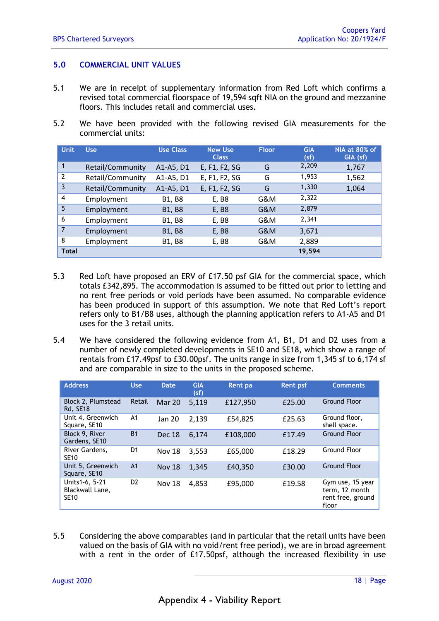#### **5.0 COMMERCIAL UNIT VALUES**

- 5.1 We are in receipt of supplementary information from Red Loft which confirms a revised total commercial floorspace of 19,594 sqft NIA on the ground and mezzanine floors. This includes retail and commercial uses.
- 5.2 We have been provided with the following revised GIA measurements for the commercial units:

| <b>Unit</b>    | <b>Use</b>       | <b>Use Class</b> | <b>New Use</b><br><b>Class</b> | <b>Floor</b> | <b>GIA</b><br>(sf) | NIA at 80% of<br>GIA (sf) |
|----------------|------------------|------------------|--------------------------------|--------------|--------------------|---------------------------|
| $\mathbf{1}$   | Retail/Community | A1-A5, D1        | E, F1, F2, SG                  | G            | 2,209              | 1,767                     |
| $\overline{2}$ | Retail/Community | A1-A5, D1        | E, F1, F2, SG                  | G            | 1,953              | 1,562                     |
| 3              | Retail/Community | A1-A5, D1        | E, F1, F2, SG                  | G            | 1,330              | 1,064                     |
| $\overline{4}$ | Employment       | <b>B1, B8</b>    | E, B8                          | G&M          | 2,322              |                           |
| 5              | Employment       | <b>B1, B8</b>    | E, B8                          | G&M          | 2,879              |                           |
| 6              | Employment       | <b>B1, B8</b>    | E, B8                          | G&M          | 2,341              |                           |
| $\overline{7}$ | Employment       | <b>B1, B8</b>    | E, B8                          | G&M          | 3,671              |                           |
| 8              | Employment       | <b>B1, B8</b>    | E, B8                          | G&M          | 2,889              |                           |
| <b>Total</b>   |                  |                  |                                |              | 19,594             |                           |

- 5.3 Red Loft have proposed an ERV of £17.50 psf GIA for the commercial space, which totals £342,895. The accommodation is assumed to be fitted out prior to letting and no rent free periods or void periods have been assumed. No comparable evidence has been produced in support of this assumption. We note that Red Loft's report refers only to B1/B8 uses, although the planning application refers to A1-A5 and D1 uses for the 3 retail units.
- 5.4 We have considered the following evidence from A1, B1, D1 and D2 uses from a number of newly completed developments in SE10 and SE18, which show a range of rentals from £17.49psf to £30.00psf. The units range in size from 1,345 sf to 6,174 sf and are comparable in size to the units in the proposed scheme.

| <b>Address</b>                                   | <b>Use</b>     | Date.         | <b>GIA</b><br>(sf) | Rent pa  | <b>Rent psf</b> | <b>Comments</b>                                                  |
|--------------------------------------------------|----------------|---------------|--------------------|----------|-----------------|------------------------------------------------------------------|
| Block 2, Plumstead<br>Rd, SE18                   | Retail         | Mar 20        | 5,119              | £127,950 | £25.00          | <b>Ground Floor</b>                                              |
| Unit 4, Greenwich<br>Square, SE10                | A <sub>1</sub> | <b>Jan 20</b> | 2,139              | £54,825  | £25.63          | Ground floor,<br>shell space.                                    |
| Block 9, River<br>Gardens, SE10                  | <b>B1</b>      | <b>Dec 18</b> | 6.174              | £108,000 | £17.49          | <b>Ground Floor</b>                                              |
| River Gardens,<br><b>SE10</b>                    | D <sub>1</sub> | <b>Nov 18</b> | 3,553              | £65,000  | £18.29          | <b>Ground Floor</b>                                              |
| Unit 5, Greenwich<br>Square, SE10                | A <sub>1</sub> | <b>Nov 18</b> | 1.345              | £40.350  | £30.00          | <b>Ground Floor</b>                                              |
| Units1-6, 5-21<br>Blackwall Lane,<br><b>SE10</b> | D <sub>2</sub> | <b>Nov 18</b> | 4,853              | £95,000  | £19.58          | Gym use, 15 year<br>term, 12 month<br>rent free, ground<br>floor |

5.5 Considering the above comparables (and in particular that the retail units have been valued on the basis of GIA with no void/rent free period), we are in broad agreement with a rent in the order of £17.50psf, although the increased flexibility in use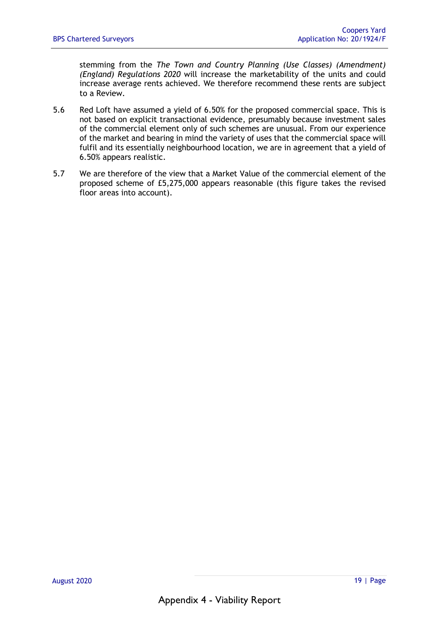stemming from the *The Town and Country Planning (Use Classes) (Amendment) (England) Regulations 2020* will increase the marketability of the units and could increase average rents achieved. We therefore recommend these rents are subject to a Review.

- 5.6 Red Loft have assumed a yield of 6.50% for the proposed commercial space. This is not based on explicit transactional evidence, presumably because investment sales of the commercial element only of such schemes are unusual. From our experience of the market and bearing in mind the variety of uses that the commercial space will fulfil and its essentially neighbourhood location, we are in agreement that a yield of 6.50% appears realistic.
- 5.7 We are therefore of the view that a Market Value of the commercial element of the proposed scheme of £5,275,000 appears reasonable (this figure takes the revised floor areas into account).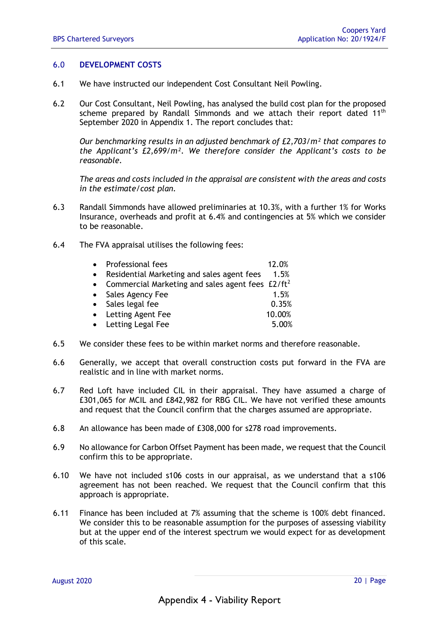#### 6.0 **DEVELOPMENT COSTS**

- 6.1 We have instructed our independent Cost Consultant Neil Powling.
- 6.2 Our Cost Consultant, Neil Powling, has analysed the build cost plan for the proposed scheme prepared by Randall Simmonds and we attach their report dated  $11<sup>th</sup>$ September 2020 in Appendix 1. The report concludes that:

*Our benchmarking results in an adjusted benchmark of £2,703/m² that compares to the Applicant's £2,699/m². We therefore consider the Applicant's costs to be reasonable.* 

*The areas and costs included in the appraisal are consistent with the areas and costs in the estimate/cost plan.* 

- 6.3 Randall Simmonds have allowed preliminaries at 10.3%, with a further 1% for Works Insurance, overheads and profit at 6.4% and contingencies at 5% which we consider to be reasonable.
- 6.4 The FVA appraisal utilises the following fees:

|           | • Professional fees                                   | 12.0%  |
|-----------|-------------------------------------------------------|--------|
| $\bullet$ | Residential Marketing and sales agent fees            | 1.5%   |
|           | • Commercial Marketing and sales agent fees $E2/ft^2$ |        |
|           | • Sales Agency Fee                                    | 1.5%   |
|           | • Sales legal fee                                     | 0.35%  |
|           | • Letting Agent Fee                                   | 10.00% |
|           | • Letting Legal Fee                                   | 5.00%  |

- 6.5 We consider these fees to be within market norms and therefore reasonable.
- 6.6 Generally, we accept that overall construction costs put forward in the FVA are realistic and in line with market norms.
- 6.7 Red Loft have included CIL in their appraisal. They have assumed a charge of £301,065 for MCIL and £842,982 for RBG CIL. We have not verified these amounts and request that the Council confirm that the charges assumed are appropriate.
- 6.8 An allowance has been made of £308,000 for s278 road improvements.
- 6.9 No allowance for Carbon Offset Payment has been made, we request that the Council confirm this to be appropriate.
- 6.10 We have not included s106 costs in our appraisal, as we understand that a s106 agreement has not been reached. We request that the Council confirm that this approach is appropriate.
- 6.11 Finance has been included at 7% assuming that the scheme is 100% debt financed. We consider this to be reasonable assumption for the purposes of assessing viability but at the upper end of the interest spectrum we would expect for as development of this scale.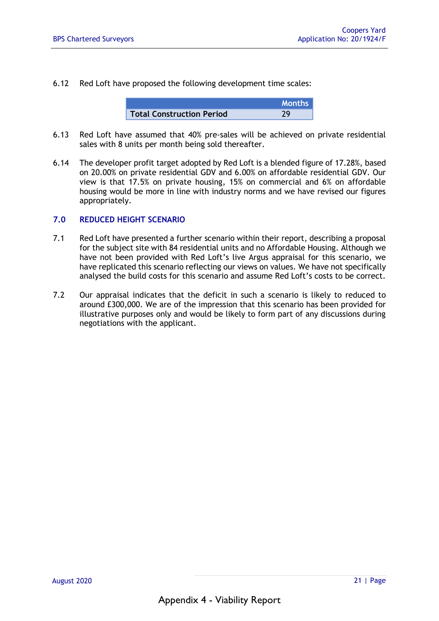6.12 Red Loft have proposed the following development time scales:

|                                  | <b>Months</b> |
|----------------------------------|---------------|
| <b>Total Construction Period</b> | າດ            |

- 6.13 Red Loft have assumed that 40% pre-sales will be achieved on private residential sales with 8 units per month being sold thereafter.
- 6.14 The developer profit target adopted by Red Loft is a blended figure of 17.28%, based on 20.00% on private residential GDV and 6.00% on affordable residential GDV. Our view is that 17.5% on private housing, 15% on commercial and 6% on affordable housing would be more in line with industry norms and we have revised our figures appropriately.

#### **7.0 REDUCED HEIGHT SCENARIO**

- 7.1 Red Loft have presented a further scenario within their report, describing a proposal for the subject site with 84 residential units and no Affordable Housing. Although we have not been provided with Red Loft's live Argus appraisal for this scenario, we have replicated this scenario reflecting our views on values. We have not specifically analysed the build costs for this scenario and assume Red Loft's costs to be correct.
- 7.2 Our appraisal indicates that the deficit in such a scenario is likely to reduced to around £300,000. We are of the impression that this scenario has been provided for illustrative purposes only and would be likely to form part of any discussions during negotiations with the applicant.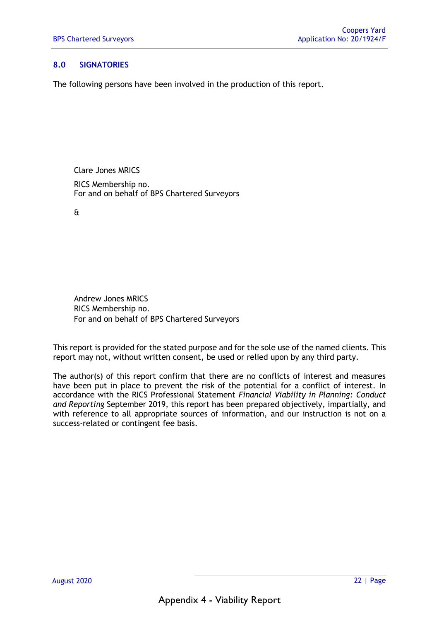#### **8.0 SIGNATORIES**

The following persons have been involved in the production of this report.

Clare Jones MRICS

RICS Membership no. For and on behalf of BPS Chartered Surveyors

&

Andrew Jones MRICS RICS Membership no. For and on behalf of BPS Chartered Surveyors

This report is provided for the stated purpose and for the sole use of the named clients. This report may not, without written consent, be used or relied upon by any third party.

The author(s) of this report confirm that there are no conflicts of interest and measures have been put in place to prevent the risk of the potential for a conflict of interest. In accordance with the RICS Professional Statement *Financial Viability in Planning: Conduct and Reporting* September 2019, this report has been prepared objectively, impartially, and with reference to all appropriate sources of information, and our instruction is not on a success-related or contingent fee basis.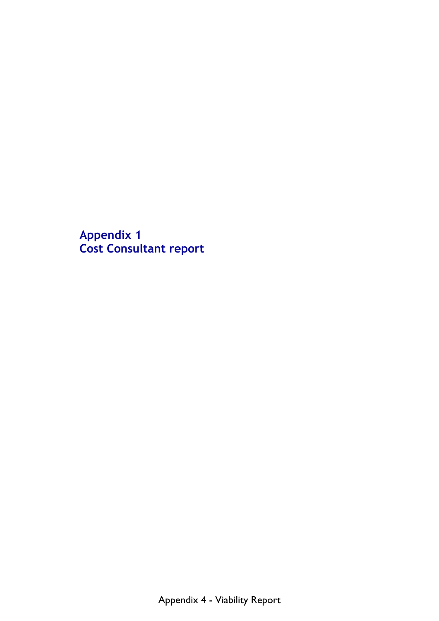**Appendix 1 Cost Consultant report**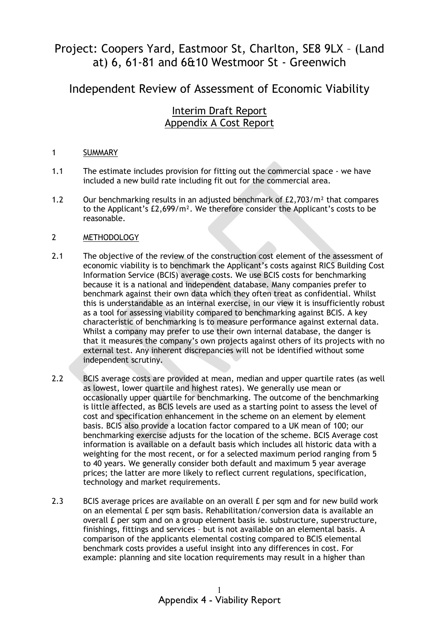## Project: Coopers Yard, Eastmoor St, Charlton, SE8 9LX – (Land at) 6, 61-81 and 6&10 Westmoor St - Greenwich

Independent Review of Assessment of Economic Viability

## Interim Draft Report Appendix A Cost Report

#### 1 SUMMARY

- 1.1 The estimate includes provision for fitting out the commercial space - we have included a new build rate including fit out for the commercial area.
- 1.2 Our benchmarking results in an adjusted benchmark of £2,703/m² that compares to the Applicant's £2,699/m². We therefore consider the Applicant's costs to be reasonable.

#### 2 METHODOLOGY

- 2.1 The objective of the review of the construction cost element of the assessment of economic viability is to benchmark the Applicant's costs against RICS Building Cost Information Service (BCIS) average costs. We use BCIS costs for benchmarking because it is a national and independent database. Many companies prefer to benchmark against their own data which they often treat as confidential. Whilst this is understandable as an internal exercise, in our view it is insufficiently robust as a tool for assessing viability compared to benchmarking against BCIS. A key characteristic of benchmarking is to measure performance against external data. Whilst a company may prefer to use their own internal database, the danger is that it measures the company's own projects against others of its projects with no external test. Any inherent discrepancies will not be identified without some independent scrutiny.
- 2.2 BCIS average costs are provided at mean, median and upper quartile rates (as well as lowest, lower quartile and highest rates). We generally use mean or occasionally upper quartile for benchmarking. The outcome of the benchmarking is little affected, as BCIS levels are used as a starting point to assess the level of cost and specification enhancement in the scheme on an element by element basis. BCIS also provide a location factor compared to a UK mean of 100; our benchmarking exercise adjusts for the location of the scheme. BCIS Average cost information is available on a default basis which includes all historic data with a weighting for the most recent, or for a selected maximum period ranging from 5 to 40 years. We generally consider both default and maximum 5 year average prices; the latter are more likely to reflect current regulations, specification, technology and market requirements.
- 2.3 BCIS average prices are available on an overall £ per sqm and for new build work on an elemental £ per sqm basis. Rehabilitation/conversion data is available an overall £ per sqm and on a group element basis ie. substructure, superstructure, finishings, fittings and services – but is not available on an elemental basis. A comparison of the applicants elemental costing compared to BCIS elemental benchmark costs provides a useful insight into any differences in cost. For example: planning and site location requirements may result in a higher than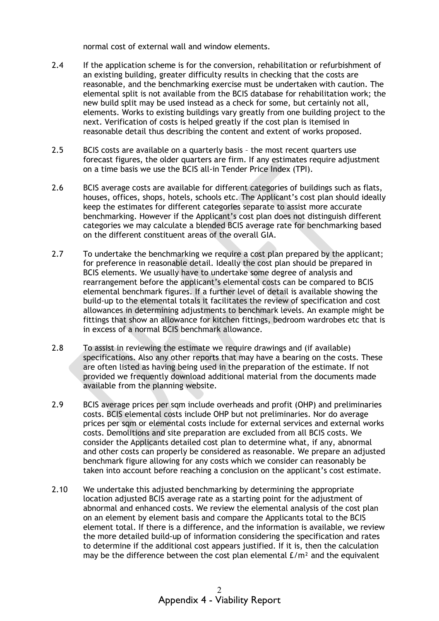normal cost of external wall and window elements.

- 2.4 If the application scheme is for the conversion, rehabilitation or refurbishment of an existing building, greater difficulty results in checking that the costs are reasonable, and the benchmarking exercise must be undertaken with caution. The elemental split is not available from the BCIS database for rehabilitation work; the new build split may be used instead as a check for some, but certainly not all, elements. Works to existing buildings vary greatly from one building project to the next. Verification of costs is helped greatly if the cost plan is itemised in reasonable detail thus describing the content and extent of works proposed.
- 2.5 BCIS costs are available on a quarterly basis – the most recent quarters use forecast figures, the older quarters are firm. If any estimates require adjustment on a time basis we use the BCIS all-in Tender Price Index (TPI).
- 2.6 BCIS average costs are available for different categories of buildings such as flats, houses, offices, shops, hotels, schools etc. The Applicant's cost plan should ideally keep the estimates for different categories separate to assist more accurate benchmarking. However if the Applicant's cost plan does not distinguish different categories we may calculate a blended BCIS average rate for benchmarking based on the different constituent areas of the overall GIA.
- 2.7 To undertake the benchmarking we require a cost plan prepared by the applicant; for preference in reasonable detail. Ideally the cost plan should be prepared in BCIS elements. We usually have to undertake some degree of analysis and rearrangement before the applicant's elemental costs can be compared to BCIS elemental benchmark figures. If a further level of detail is available showing the build-up to the elemental totals it facilitates the review of specification and cost allowances in determining adjustments to benchmark levels. An example might be fittings that show an allowance for kitchen fittings, bedroom wardrobes etc that is in excess of a normal BCIS benchmark allowance.
- 2.8 To assist in reviewing the estimate we require drawings and (if available) specifications. Also any other reports that may have a bearing on the costs. These are often listed as having being used in the preparation of the estimate. If not provided we frequently download additional material from the documents made available from the planning website.
- 2.9 BCIS average prices per sqm include overheads and profit (OHP) and preliminaries costs. BCIS elemental costs include OHP but not preliminaries. Nor do average prices per sqm or elemental costs include for external services and external works costs. Demolitions and site preparation are excluded from all BCIS costs. We consider the Applicants detailed cost plan to determine what, if any, abnormal and other costs can properly be considered as reasonable. We prepare an adjusted benchmark figure allowing for any costs which we consider can reasonably be taken into account before reaching a conclusion on the applicant's cost estimate.
- 2.10 We undertake this adjusted benchmarking by determining the appropriate location adjusted BCIS average rate as a starting point for the adjustment of abnormal and enhanced costs. We review the elemental analysis of the cost plan on an element by element basis and compare the Applicants total to the BCIS element total. If there is a difference, and the information is available, we review the more detailed build-up of information considering the specification and rates to determine if the additional cost appears justified. If it is, then the calculation may be the difference between the cost plan elemental  $E/m<sup>2</sup>$  and the equivalent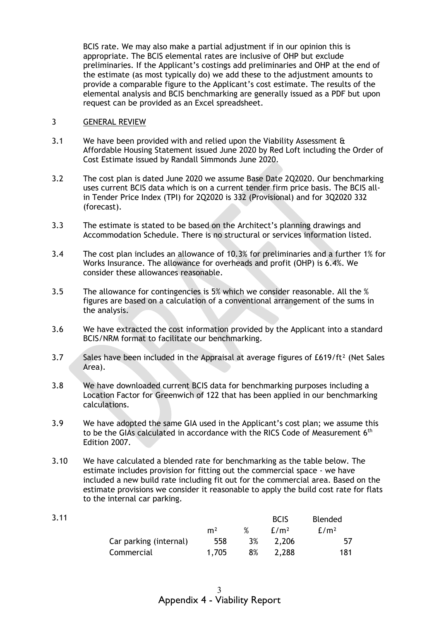BCIS rate. We may also make a partial adjustment if in our opinion this is appropriate. The BCIS elemental rates are inclusive of OHP but exclude preliminaries. If the Applicant's costings add preliminaries and OHP at the end of the estimate (as most typically do) we add these to the adjustment amounts to provide a comparable figure to the Applicant's cost estimate. The results of the elemental analysis and BCIS benchmarking are generally issued as a PDF but upon request can be provided as an Excel spreadsheet.

#### 3 GENERAL REVIEW

3.11

- 3.1 We have been provided with and relied upon the Viability Assessment & Affordable Housing Statement issued June 2020 by Red Loft including the Order of Cost Estimate issued by Randall Simmonds June 2020.
- 3.2 The cost plan is dated June 2020 we assume Base Date 2Q2020. Our benchmarking uses current BCIS data which is on a current tender firm price basis. The BCIS allin Tender Price Index (TPI) for 2Q2020 is 332 (Provisional) and for 3Q2020 332 (forecast).
- 3.3 The estimate is stated to be based on the Architect's planning drawings and Accommodation Schedule. There is no structural or services information listed.
- 3.4 The cost plan includes an allowance of 10.3% for preliminaries and a further 1% for Works Insurance. The allowance for overheads and profit (OHP) is 6.4%. We consider these allowances reasonable.
- 3.5 The allowance for contingencies is 5% which we consider reasonable. All the % figures are based on a calculation of a conventional arrangement of the sums in the analysis.
- 3.6 We have extracted the cost information provided by the Applicant into a standard BCIS/NRM format to facilitate our benchmarking.
- 3.7 Sales have been included in the Appraisal at average figures of  $E619/ft^2$  (Net Sales Area).
- 3.8 We have downloaded current BCIS data for benchmarking purposes including a Location Factor for Greenwich of 122 that has been applied in our benchmarking calculations.
- 3.9 We have adopted the same GIA used in the Applicant's cost plan; we assume this to be the GIAs calculated in accordance with the RICS Code of Measurement 6<sup>th</sup> Edition 2007.
- 3.10 We have calculated a blended rate for benchmarking as the table below. The estimate includes provision for fitting out the commercial space - we have included a new build rate including fit out for the commercial area. Based on the estimate provisions we consider it reasonable to apply the build cost rate for flats to the internal car parking.

|                        |                |    | <b>BCIS</b>      | <b>Blended</b>   |
|------------------------|----------------|----|------------------|------------------|
|                        | m <sup>2</sup> | %  | f/m <sup>2</sup> | E/m <sup>2</sup> |
| Car parking (internal) | 558            | 3% | 2,206            | -57              |
| Commercial             | 1.705          | 8% | 2,288            | 181              |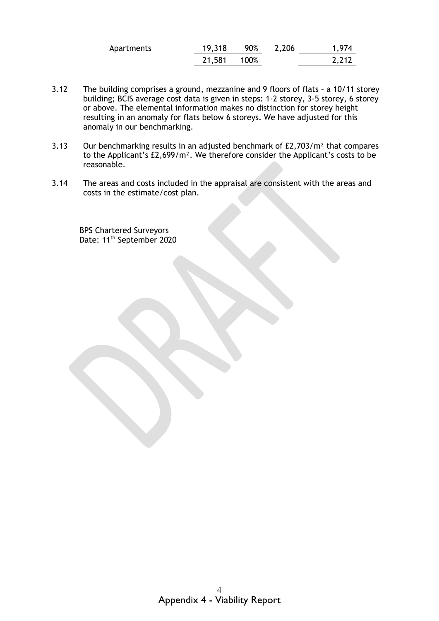| Apartments | 19,318 | 90%  | 2,206 | 1,974 |
|------------|--------|------|-------|-------|
|            | 21,581 | 100% |       | 2,212 |

- 3.12 The building comprises a ground, mezzanine and 9 floors of flats – a 10/11 storey building; BCIS average cost data is given in steps: 1-2 storey, 3-5 storey, 6 storey or above. The elemental information makes no distinction for storey height resulting in an anomaly for flats below 6 storeys. We have adjusted for this anomaly in our benchmarking.
- 3.13 Our benchmarking results in an adjusted benchmark of £2,703/m² that compares to the Applicant's £2,699/m². We therefore consider the Applicant's costs to be reasonable.
- 3.14 The areas and costs included in the appraisal are consistent with the areas and costs in the estimate/cost plan.

BPS Chartered Surveyors Date: 11<sup>th</sup> September 2020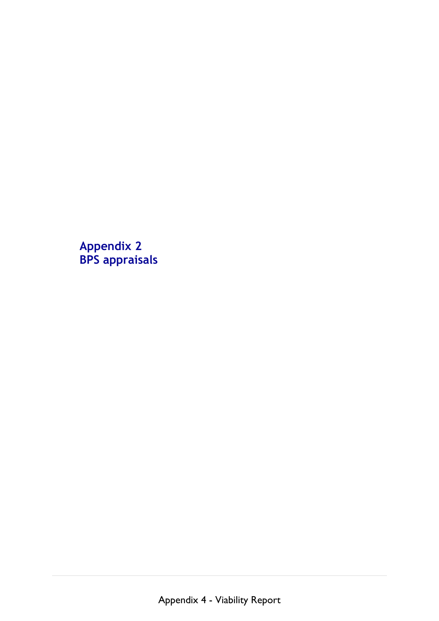**Appendix 2 BPS appraisals**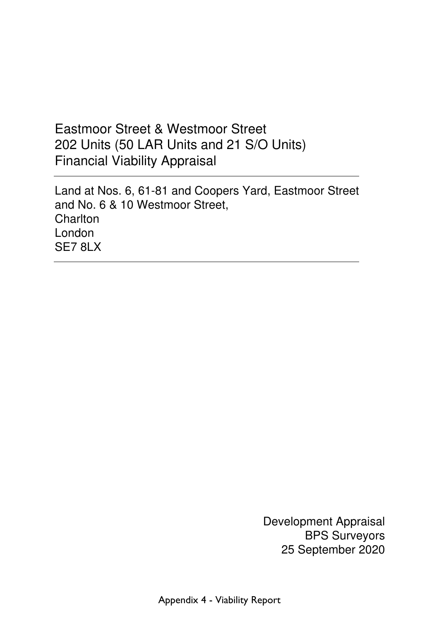# Eastmoor Street & Westmoor Street 202 Units (50 LAR Units and 21 S/O Units) Financial Viability Appraisal

 Land at Nos. 6, 61-81 and Coopers Yard, Eastmoor Street and No. 6 & 10 Westmoor Street, **Charlton**  London SE7 8LX

> Development Appraisal BPS Surveyors 25 September 2020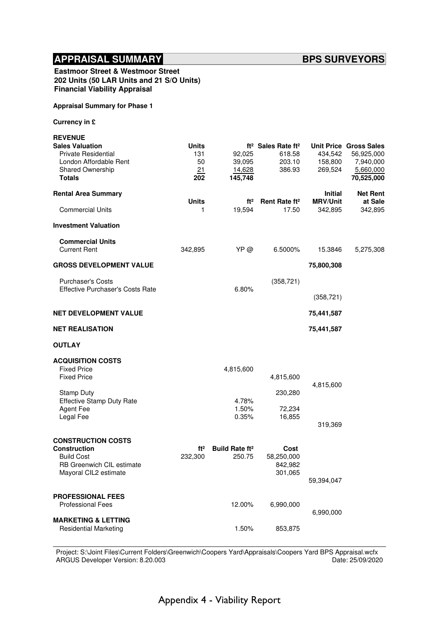Eastmoor Street & Westmoor Street 202 Units (50 LAR Units and 21 S/O Units) Financial Viability Appraisal

#### Appraisal Summary for Phase 1

Currency in £

| <b>REVENUE</b>                                       |                 |                            |                                            |                                   |                               |
|------------------------------------------------------|-----------------|----------------------------|--------------------------------------------|-----------------------------------|-------------------------------|
| <b>Sales Valuation</b>                               | <b>Units</b>    |                            | ft <sup>2</sup> Sales Rate ft <sup>2</sup> |                                   | <b>Unit Price Gross Sales</b> |
| <b>Private Residential</b><br>London Affordable Rent | 131<br>50       | 92,025<br>39,095           | 618.58                                     | 434,542                           | 56,925,000                    |
| Shared Ownership                                     | 21              | 14,628                     | 203.10<br>386.93                           | 158,800<br>269,524                | 7,940,000<br>5,660,000        |
| <b>Totals</b>                                        | 202             | 145,748                    |                                            |                                   | 70,525,000                    |
|                                                      |                 |                            |                                            |                                   |                               |
| <b>Rental Area Summary</b>                           | <b>Units</b>    |                            |                                            | <b>Initial</b><br><b>MRV/Unit</b> | <b>Net Rent</b>               |
| <b>Commercial Units</b>                              | 1               | ft <sup>2</sup><br>19,594  | Rent Rate ft <sup>2</sup><br>17.50         | 342,895                           | at Sale<br>342,895            |
|                                                      |                 |                            |                                            |                                   |                               |
| <b>Investment Valuation</b>                          |                 |                            |                                            |                                   |                               |
| <b>Commercial Units</b>                              |                 |                            |                                            |                                   |                               |
| <b>Current Rent</b>                                  | 342,895         | YP @                       | 6.5000%                                    | 15.3846                           | 5,275,308                     |
|                                                      |                 |                            |                                            |                                   |                               |
| <b>GROSS DEVELOPMENT VALUE</b>                       |                 |                            |                                            | 75,800,308                        |                               |
| <b>Purchaser's Costs</b>                             |                 |                            | (358, 721)                                 |                                   |                               |
| <b>Effective Purchaser's Costs Rate</b>              |                 | 6.80%                      |                                            |                                   |                               |
|                                                      |                 |                            |                                            | (358, 721)                        |                               |
| <b>NET DEVELOPMENT VALUE</b>                         |                 |                            |                                            | 75,441,587                        |                               |
| <b>NET REALISATION</b>                               |                 |                            |                                            | 75,441,587                        |                               |
|                                                      |                 |                            |                                            |                                   |                               |
| <b>OUTLAY</b>                                        |                 |                            |                                            |                                   |                               |
| <b>ACQUISITION COSTS</b>                             |                 |                            |                                            |                                   |                               |
| <b>Fixed Price</b>                                   |                 | 4,815,600                  |                                            |                                   |                               |
| <b>Fixed Price</b>                                   |                 |                            | 4,815,600                                  |                                   |                               |
|                                                      |                 |                            |                                            | 4,815,600                         |                               |
| <b>Stamp Duty</b>                                    |                 |                            | 230,280                                    |                                   |                               |
| <b>Effective Stamp Duty Rate</b>                     |                 | 4.78%                      |                                            |                                   |                               |
| <b>Agent Fee</b>                                     |                 | 1.50%                      | 72,234                                     |                                   |                               |
| Legal Fee                                            |                 | 0.35%                      | 16,855                                     |                                   |                               |
|                                                      |                 |                            |                                            | 319,369                           |                               |
| <b>CONSTRUCTION COSTS</b>                            |                 |                            |                                            |                                   |                               |
| <b>Construction</b>                                  | ft <sup>2</sup> | Build Rate ft <sup>2</sup> | Cost                                       |                                   |                               |
| <b>Build Cost</b>                                    | 232,300         | 250.75                     | 58,250,000                                 |                                   |                               |
| RB Greenwich CIL estimate                            |                 |                            | 842,982                                    |                                   |                               |
| Mayoral CIL2 estimate                                |                 |                            | 301,065                                    |                                   |                               |
|                                                      |                 |                            |                                            | 59,394,047                        |                               |
| <b>PROFESSIONAL FEES</b>                             |                 |                            |                                            |                                   |                               |
| <b>Professional Fees</b>                             |                 | 12.00%                     | 6,990,000                                  |                                   |                               |
|                                                      |                 |                            |                                            | 6,990,000                         |                               |
| <b>MARKETING &amp; LETTING</b>                       |                 |                            |                                            |                                   |                               |
| <b>Residential Marketing</b>                         |                 | 1.50%                      | 853,875                                    |                                   |                               |
|                                                      |                 |                            |                                            |                                   |                               |

Project: S:\Joint Files\Current Folders\Greenwich\Coopers Yard\Appraisals\Coopers Yard BPS Appraisal.wcfx<br>ARGUS Developer Version: 8.20.003 ARGUS Developer Version: 8.20.003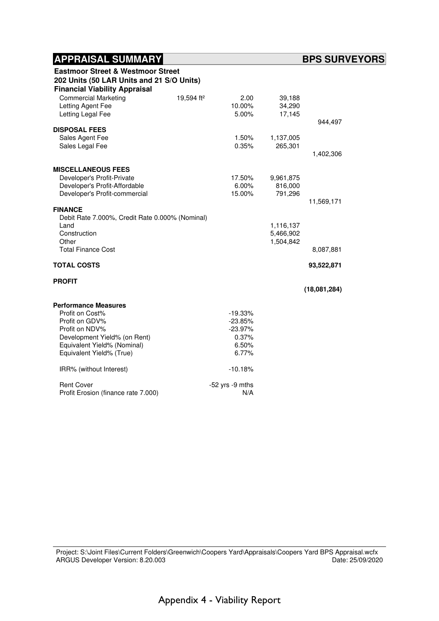| <b>Eastmoor Street &amp; Westmoor Street</b><br>202 Units (50 LAR Units and 21 S/O Units)<br><b>Financial Viability Appraisal</b> |                        |                     |           |              |
|-----------------------------------------------------------------------------------------------------------------------------------|------------------------|---------------------|-----------|--------------|
| <b>Commercial Marketing</b>                                                                                                       | 19,594 ft <sup>2</sup> | 2.00                | 39,188    |              |
| Letting Agent Fee                                                                                                                 |                        | 10.00%              | 34,290    |              |
| Letting Legal Fee                                                                                                                 |                        | 5.00%               | 17,145    |              |
| <b>DISPOSAL FEES</b>                                                                                                              |                        |                     |           | 944,497      |
| Sales Agent Fee                                                                                                                   |                        | 1.50%               | 1,137,005 |              |
| Sales Legal Fee                                                                                                                   |                        | 0.35%               | 265,301   |              |
|                                                                                                                                   |                        |                     |           | 1,402,306    |
|                                                                                                                                   |                        |                     |           |              |
| <b>MISCELLANEOUS FEES</b>                                                                                                         |                        |                     |           |              |
| Developer's Profit-Private                                                                                                        |                        | 17.50%              | 9,961,875 |              |
| Developer's Profit-Affordable                                                                                                     |                        | 6.00%               | 816,000   |              |
| Developer's Profit-commercial                                                                                                     |                        | 15.00%              | 791,296   |              |
|                                                                                                                                   |                        |                     |           | 11,569,171   |
| <b>FINANCE</b><br>Debit Rate 7.000%, Credit Rate 0.000% (Nominal)                                                                 |                        |                     |           |              |
| Land                                                                                                                              |                        |                     | 1,116,137 |              |
| Construction                                                                                                                      |                        |                     | 5,466,902 |              |
| Other                                                                                                                             |                        |                     | 1,504,842 |              |
| <b>Total Finance Cost</b>                                                                                                         |                        |                     |           | 8,087,881    |
|                                                                                                                                   |                        |                     |           |              |
| <b>TOTAL COSTS</b>                                                                                                                |                        |                     |           | 93,522,871   |
| <b>PROFIT</b>                                                                                                                     |                        |                     |           |              |
|                                                                                                                                   |                        |                     |           | (18,081,284) |
| <b>Performance Measures</b>                                                                                                       |                        |                     |           |              |
| Profit on Cost%                                                                                                                   |                        | $-19.33%$           |           |              |
| Profit on GDV%                                                                                                                    |                        | $-23.85%$           |           |              |
| Profit on NDV%                                                                                                                    |                        | $-23.97%$           |           |              |
| Development Yield% (on Rent)                                                                                                      |                        | 0.37%               |           |              |
| Equivalent Yield% (Nominal)                                                                                                       |                        | 6.50%               |           |              |
| Equivalent Yield% (True)                                                                                                          |                        | 6.77%               |           |              |
| IRR% (without Interest)                                                                                                           |                        | $-10.18%$           |           |              |
| <b>Rent Cover</b>                                                                                                                 |                        | $-52$ yrs $-9$ mths |           |              |
| Profit Erosion (finance rate 7.000)                                                                                               |                        | N/A                 |           |              |

Project: S:\Joint Files\Current Folders\Greenwich\Coopers Yard\Appraisals\Coopers Yard BPS Appraisal.wcfx<br>ARGUS Developer Version: 8.20.003 ARGUS Developer Version: 8.20.003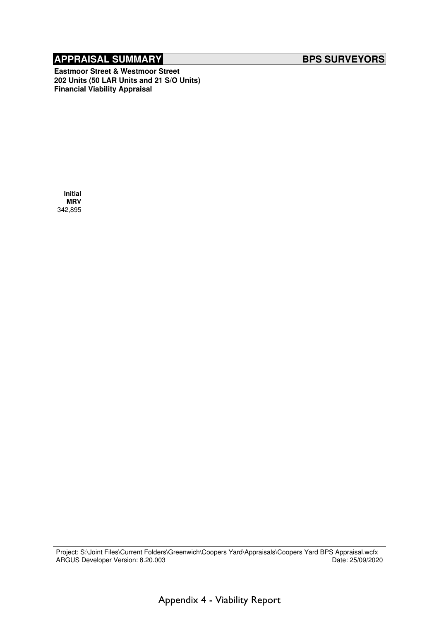Eastmoor Street & Westmoor Street 202 Units (50 LAR Units and 21 S/O Units) Financial Viability Appraisal

 Initial **MRV** 342,895

Project: S:\Joint Files\Current Folders\Greenwich\Coopers Yard\Appraisals\Coopers Yard BPS Appraisal.wcfx<br>ARGUS Developer Version: 8.20.003 ARGUS Developer Version: 8.20.003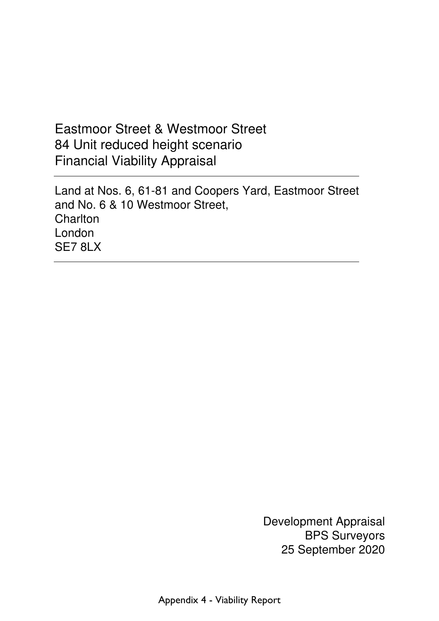# Eastmoor Street & Westmoor Street 84 Unit reduced height scenario Financial Viability Appraisal

 Land at Nos. 6, 61-81 and Coopers Yard, Eastmoor Street and No. 6 & 10 Westmoor Street, **Charlton**  London SE7 8LX

> Development Appraisal BPS Surveyors 25 September 2020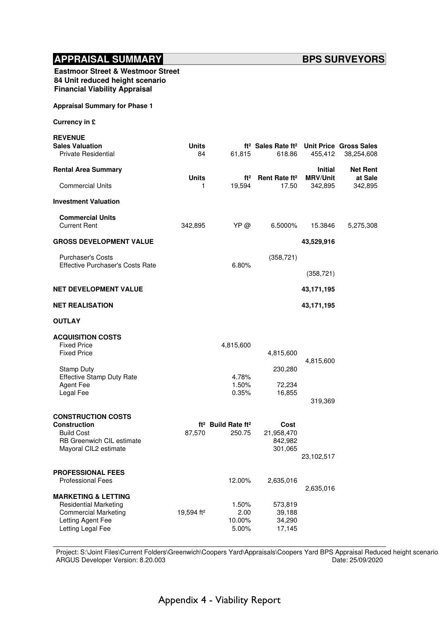| <b>Eastmoor Street &amp; Westmoor Street</b> |
|----------------------------------------------|
| 84 Unit reduced height scenario              |
| <b>Financial Viability Appraisal</b>         |

#### Appraisal Summary for Phase 1

Currency in £

| <b>REVENUE</b>                                                                                                                          |                        |                                                      |                                                                             |                                   |                            |
|-----------------------------------------------------------------------------------------------------------------------------------------|------------------------|------------------------------------------------------|-----------------------------------------------------------------------------|-----------------------------------|----------------------------|
| <b>Sales Valuation</b><br><b>Private Residential</b>                                                                                    | <b>Units</b><br>84     | 61,815                                               | ft <sup>2</sup> Sales Rate ft <sup>2</sup> Unit Price Gross Sales<br>618.86 | 455,412                           | 38,254,608                 |
| <b>Rental Area Summary</b>                                                                                                              | <b>Units</b>           |                                                      | $ft2$ Rent Rate $ft2$                                                       | <b>Initial</b><br><b>MRV/Unit</b> | <b>Net Rent</b><br>at Sale |
| <b>Commercial Units</b>                                                                                                                 | 1.                     | 19,594                                               | 17.50                                                                       | 342,895                           | 342,895                    |
| <b>Investment Valuation</b>                                                                                                             |                        |                                                      |                                                                             |                                   |                            |
| <b>Commercial Units</b><br><b>Current Rent</b>                                                                                          | 342,895                | YP @                                                 | 6.5000%                                                                     | 15.3846                           | 5,275,308                  |
| <b>GROSS DEVELOPMENT VALUE</b>                                                                                                          |                        |                                                      |                                                                             | 43,529,916                        |                            |
| <b>Purchaser's Costs</b><br><b>Effective Purchaser's Costs Rate</b>                                                                     |                        | 6.80%                                                | (358, 721)                                                                  | (358, 721)                        |                            |
| <b>NET DEVELOPMENT VALUE</b>                                                                                                            |                        |                                                      |                                                                             | 43,171,195                        |                            |
| <b>NET REALISATION</b>                                                                                                                  |                        |                                                      |                                                                             | 43,171,195                        |                            |
| <b>OUTLAY</b>                                                                                                                           |                        |                                                      |                                                                             |                                   |                            |
| <b>ACQUISITION COSTS</b><br><b>Fixed Price</b><br><b>Fixed Price</b>                                                                    |                        | 4,815,600                                            | 4,815,600                                                                   |                                   |                            |
| <b>Stamp Duty</b><br><b>Effective Stamp Duty Rate</b><br><b>Agent Fee</b><br>Legal Fee                                                  |                        | 4.78%<br>1.50%<br>0.35%                              | 230,280<br>72,234<br>16,855                                                 | 4,815,600<br>319,369              |                            |
| <b>CONSTRUCTION COSTS</b><br><b>Construction</b><br><b>Build Cost</b><br>RB Greenwich CIL estimate<br>Mayoral CIL2 estimate             | 87,570                 | ft <sup>2</sup> Build Rate ft <sup>2</sup><br>250.75 | Cost<br>21,958,470<br>842,982<br>301,065                                    | 23,102,517                        |                            |
| <b>PROFESSIONAL FEES</b><br><b>Professional Fees</b>                                                                                    |                        | 12.00%                                               | 2,635,016                                                                   | 2,635,016                         |                            |
| <b>MARKETING &amp; LETTING</b><br><b>Residential Marketing</b><br><b>Commercial Marketing</b><br>Letting Agent Fee<br>Letting Legal Fee | 19,594 ft <sup>2</sup> | 1.50%<br>2.00<br>10.00%<br>5.00%                     | 573,819<br>39,188<br>34,290<br>17,145                                       |                                   |                            |

Project: S:\Joint Files\Current Folders\Greenwich\Coopers Yard\Appraisals\Coopers Yard BPS Appraisal Reduced height scenario<br>ARGUS Developer Version: 8.20.003 ARGUS Developer Version: 8.20.003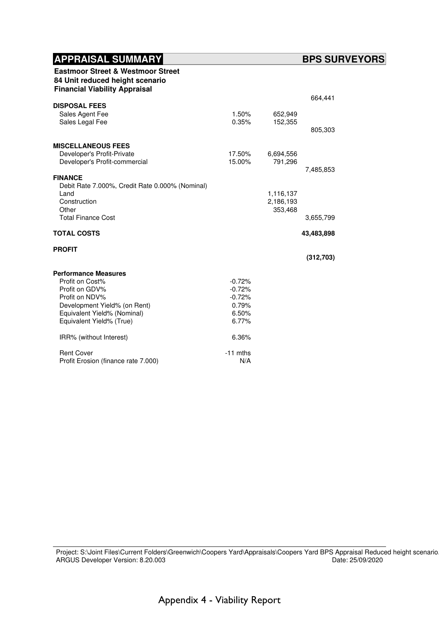| <b>Eastmoor Street &amp; Westmoor Street</b><br>84 Unit reduced height scenario<br><b>Financial Viability Appraisal</b> |                |                    |            |
|-------------------------------------------------------------------------------------------------------------------------|----------------|--------------------|------------|
|                                                                                                                         |                |                    | 664,441    |
| <b>DISPOSAL FEES</b>                                                                                                    |                |                    |            |
| Sales Agent Fee<br>Sales Legal Fee                                                                                      | 1.50%<br>0.35% | 652,949<br>152,355 |            |
|                                                                                                                         |                |                    | 805,303    |
| <b>MISCELLANEOUS FEES</b>                                                                                               |                |                    |            |
| Developer's Profit-Private                                                                                              | 17.50%         | 6,694,556          |            |
| Developer's Profit-commercial                                                                                           | 15.00%         | 791,296            |            |
| <b>FINANCE</b>                                                                                                          |                |                    | 7,485,853  |
| Debit Rate 7.000%, Credit Rate 0.000% (Nominal)                                                                         |                |                    |            |
| Land                                                                                                                    |                | 1,116,137          |            |
| Construction                                                                                                            |                | 2,186,193          |            |
| Other                                                                                                                   |                | 353,468            |            |
| <b>Total Finance Cost</b>                                                                                               |                |                    | 3,655,799  |
| <b>TOTAL COSTS</b>                                                                                                      |                |                    | 43,483,898 |
| <b>PROFIT</b>                                                                                                           |                |                    |            |
|                                                                                                                         |                |                    | (312, 703) |
| <b>Performance Measures</b>                                                                                             |                |                    |            |
| Profit on Cost%                                                                                                         | $-0.72%$       |                    |            |
| Profit on GDV%                                                                                                          | $-0.72%$       |                    |            |
| Profit on NDV%                                                                                                          | $-0.72%$       |                    |            |
| Development Yield% (on Rent)<br>Equivalent Yield% (Nominal)                                                             | 0.79%<br>6.50% |                    |            |
| Equivalent Yield% (True)                                                                                                | 6.77%          |                    |            |
|                                                                                                                         |                |                    |            |
| IRR% (without Interest)                                                                                                 | 6.36%          |                    |            |
| <b>Rent Cover</b>                                                                                                       | $-11$ mths     |                    |            |
| Profit Erosion (finance rate 7.000)                                                                                     |                |                    |            |

Project: S:\Joint Files\Current Folders\Greenwich\Coopers Yard\Appraisals\Coopers Yard BPS Appraisal Reduced height scenario<br>ARGUS Developer Version: 8.20.003 ARGUS Developer Version: 8.20.003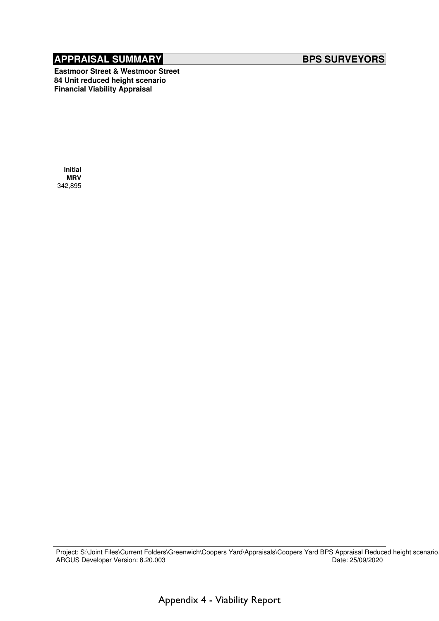Eastmoor Street & Westmoor Street 84 Unit reduced height scenario Financial Viability Appraisal

 Initial MRV 342,895

Project: S:\Joint Files\Current Folders\Greenwich\Coopers Yard\Appraisals\Coopers Yard BPS Appraisal Reduced height scenario.<br>ARGUS Developer Version: 8.20.003 ARGUS Developer Version: 8.20.003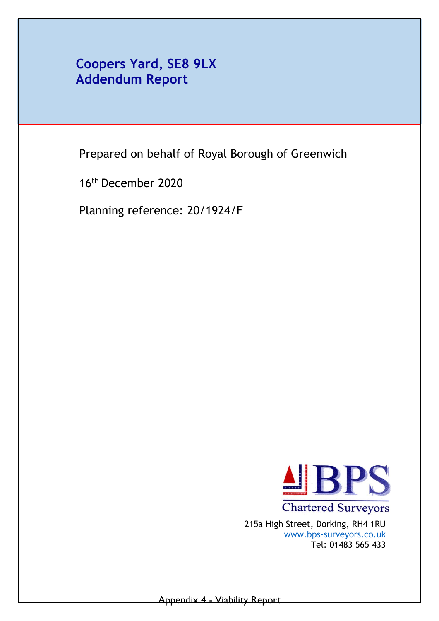## **Coopers Yard, SE8 9LX Addendum Report**

Prepared on behalf of Royal Borough of Greenwich

16th December 2020

Planning reference: 20/1924/F



**Chartered Surveyors** 215a High Street, Dorking, RH4 1RU [www.bps-surveyors.co.uk](http://www.bps-surveyors.co.uk/) Tel: 01483 565 433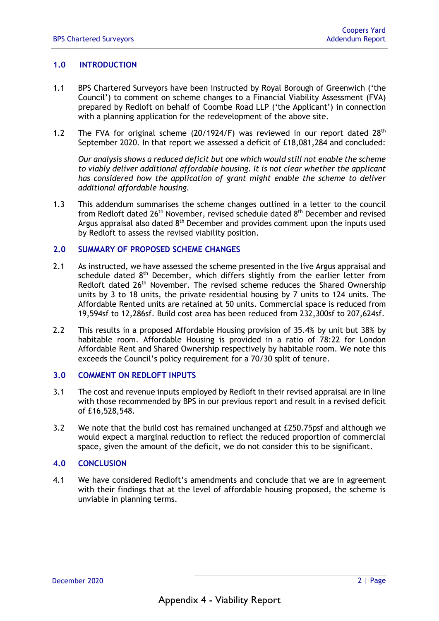#### **1.0 INTRODUCTION**

- 1.1 BPS Chartered Surveyors have been instructed by Royal Borough of Greenwich ('the Council') to comment on scheme changes to a Financial Viability Assessment (FVA) prepared by Redloft on behalf of Coombe Road LLP ('the Applicant') in connection with a planning application for the redevelopment of the above site.
- 1.2 The FVA for original scheme  $(20/1924/F)$  was reviewed in our report dated  $28<sup>th</sup>$ September 2020. In that report we assessed a deficit of £18,081,284 and concluded:

*Our analysis shows a reduced deficit but one which would still not enable the scheme to viably deliver additional affordable housing. It is not clear whether the applicant has considered how the application of grant might enable the scheme to deliver additional affordable housing.* 

1.3 This addendum summarises the scheme changes outlined in a letter to the council from Redloft dated 26<sup>th</sup> November, revised schedule dated 8<sup>th</sup> December and revised Argus appraisal also dated  $8<sup>th</sup>$  December and provides comment upon the inputs used by Redloft to assess the revised viability position.

#### **2.0 SUMMARY OF PROPOSED SCHEME CHANGES**

- 2.1 As instructed, we have assessed the scheme presented in the live Argus appraisal and schedule dated  $8<sup>th</sup>$  December, which differs slightly from the earlier letter from Redloft dated 26<sup>th</sup> November. The revised scheme reduces the Shared Ownership units by 3 to 18 units, the private residential housing by 7 units to 124 units. The Affordable Rented units are retained at 50 units. Commercial space is reduced from 19,594sf to 12,286sf. Build cost area has been reduced from 232,300sf to 207,624sf.
- 2.2 This results in a proposed Affordable Housing provision of 35.4% by unit but 38% by habitable room. Affordable Housing is provided in a ratio of 78:22 for London Affordable Rent and Shared Ownership respectively by habitable room. We note this exceeds the Council's policy requirement for a 70/30 split of tenure.

#### **3.0 COMMENT ON REDLOFT INPUTS**

- 3.1 The cost and revenue inputs employed by Redloft in their revised appraisal are in line with those recommended by BPS in our previous report and result in a revised deficit of £16,528,548.
- 3.2 We note that the build cost has remained unchanged at £250.75psf and although we would expect a marginal reduction to reflect the reduced proportion of commercial space, given the amount of the deficit, we do not consider this to be significant.

### **4.0 CONCLUSION**

4.1 We have considered Redloft's amendments and conclude that we are in agreement with their findings that at the level of affordable housing proposed, the scheme is unviable in planning terms.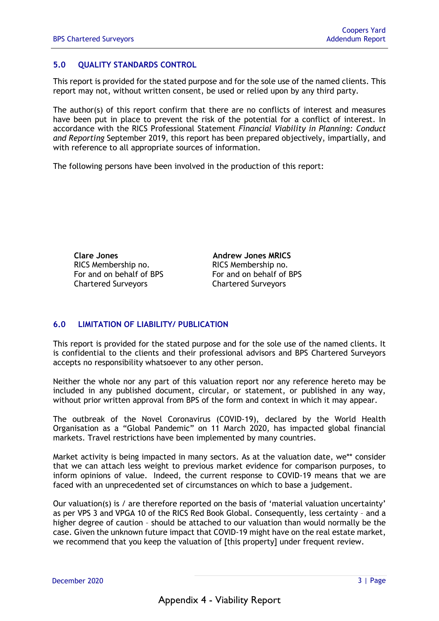### **5.0 QUALITY STANDARDS CONTROL**

This report is provided for the stated purpose and for the sole use of the named clients. This report may not, without written consent, be used or relied upon by any third party.

The author(s) of this report confirm that there are no conflicts of interest and measures have been put in place to prevent the risk of the potential for a conflict of interest. In accordance with the RICS Professional Statement *Financial Viability in Planning: Conduct and Reporting* September 2019, this report has been prepared objectively, impartially, and with reference to all appropriate sources of information.

The following persons have been involved in the production of this report:

**Clare Jones Andrew Jones MRICS**  RICS Membership no. 009561 RICS Membership no. For and on behalf of BPS For and on behalf of BPS Chartered Surveyors Chartered Surveyors

### **6.0 LIMITATION OF LIABILITY/ PUBLICATION**

This report is provided for the stated purpose and for the sole use of the named clients. It is confidential to the clients and their professional advisors and BPS Chartered Surveyors accepts no responsibility whatsoever to any other person.

Neither the whole nor any part of this valuation report nor any reference hereto may be included in any published document, circular, or statement, or published in any way, without prior written approval from BPS of the form and context in which it may appear.

The outbreak of the Novel Coronavirus (COVID-19), declared by the World Health Organisation as a "Global Pandemic" on 11 March 2020, has impacted global financial markets. Travel restrictions have been implemented by many countries.

Market activity is being impacted in many sectors. As at the valuation date, we\*\* consider that we can attach less weight to previous market evidence for comparison purposes, to inform opinions of value. Indeed, the current response to COVID-19 means that we are faced with an unprecedented set of circumstances on which to base a judgement.

Our valuation(s) is / are therefore reported on the basis of 'material valuation uncertainty' as per VPS 3 and VPGA 10 of the RICS Red Book Global. Consequently, less certainty – and a higher degree of caution – should be attached to our valuation than would normally be the case. Given the unknown future impact that COVID-19 might have on the real estate market, we recommend that you keep the valuation of [this property] under frequent review.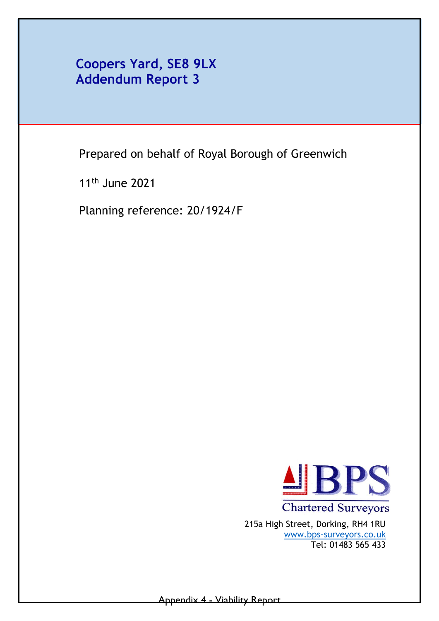**Coopers Yard, SE8 9LX Addendum Report 3** 

Prepared on behalf of Royal Borough of Greenwich

11th June 2021

Planning reference: 20/1924/F



**Chartered Surveyors** 215a High Street, Dorking, RH4 1RU [www.bps-surveyors.co.uk](http://www.bps-surveyors.co.uk/) Tel: 01483 565 433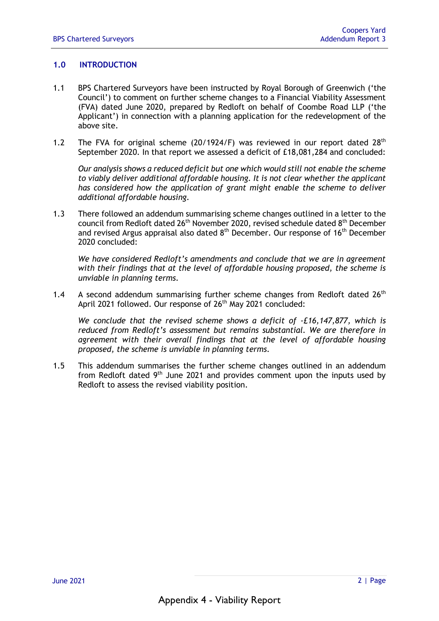### **1.0 INTRODUCTION**

- 1.1 BPS Chartered Surveyors have been instructed by Royal Borough of Greenwich ('the Council') to comment on further scheme changes to a Financial Viability Assessment (FVA) dated June 2020, prepared by Redloft on behalf of Coombe Road LLP ('the Applicant') in connection with a planning application for the redevelopment of the above site.
- 1.2 The FVA for original scheme  $(20/1924/F)$  was reviewed in our report dated  $28<sup>th</sup>$ September 2020. In that report we assessed a deficit of £18,081,284 and concluded:

*Our analysis shows a reduced deficit but one which would still not enable the scheme to viably deliver additional affordable housing. It is not clear whether the applicant has considered how the application of grant might enable the scheme to deliver additional affordable housing.* 

1.3 There followed an addendum summarising scheme changes outlined in a letter to the council from Redloft dated 26<sup>th</sup> November 2020, revised schedule dated 8<sup>th</sup> December and revised Argus appraisal also dated  $8<sup>th</sup>$  December. Our response of 16<sup>th</sup> December 2020 concluded:

*We have considered Redloft's amendments and conclude that we are in agreement with their findings that at the level of affordable housing proposed, the scheme is unviable in planning terms.* 

1.4 A second addendum summarising further scheme changes from Redloft dated  $26<sup>th</sup>$ April 2021 followed. Our response of 26<sup>th</sup> May 2021 concluded:

*We conclude that the revised scheme shows a deficit of -£16,147,877, which is reduced from Redloft's assessment but remains substantial. We are therefore in agreement with their overall findings that at the level of affordable housing proposed, the scheme is unviable in planning terms.* 

1.5 This addendum summarises the further scheme changes outlined in an addendum from Redloft dated  $9<sup>th</sup>$  June 2021 and provides comment upon the inputs used by Redloft to assess the revised viability position.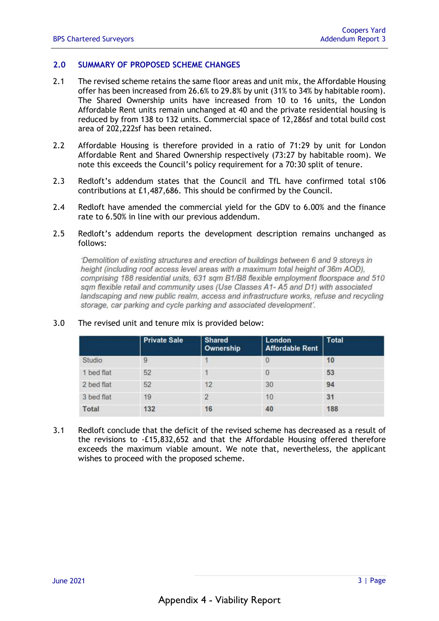#### **2.0 SUMMARY OF PROPOSED SCHEME CHANGES**

- 2.1 The revised scheme retains the same floor areas and unit mix, the Affordable Housing offer has been increased from 26.6% to 29.8% by unit (31% to 34% by habitable room). The Shared Ownership units have increased from 10 to 16 units, the London Affordable Rent units remain unchanged at 40 and the private residential housing is reduced by from 138 to 132 units. Commercial space of 12,286sf and total build cost area of 202,222sf has been retained.
- 2.2 Affordable Housing is therefore provided in a ratio of 71:29 by unit for London Affordable Rent and Shared Ownership respectively (73:27 by habitable room). We note this exceeds the Council's policy requirement for a 70:30 split of tenure.
- 2.3 Redloft's addendum states that the Council and TfL have confirmed total s106 contributions at £1,487,686. This should be confirmed by the Council.
- 2.4 Redloft have amended the commercial yield for the GDV to 6.00% and the finance rate to 6.50% in line with our previous addendum.
- 2.5 Redloft's addendum reports the development description remains unchanged as follows:

'Demolition of existing structures and erection of buildings between 6 and 9 storeys in height (including roof access level areas with a maximum total height of 36m AOD), comprising 188 residential units, 631 sqm B1/B8 flexible employment floorspace and 510 sam flexible retail and community uses (Use Classes A1-A5 and D1) with associated landscaping and new public realm, access and infrastructure works, refuse and recycling storage, car parking and cycle parking and associated development'.

|            | <b>Private Sale</b> | <b>Shared</b><br>Ownership | London<br><b>Affordable Rent</b> | <b>Total</b> |
|------------|---------------------|----------------------------|----------------------------------|--------------|
| Studio     | 9                   |                            |                                  | 10           |
| 1 bed flat | 52                  |                            | 0                                | 53           |
| 2 bed flat | 52                  | $12^{1}$                   | 30                               | 94           |
| 3 bed flat | 19                  | $\overline{2}$             | 10                               | 31           |
| Total      | 132                 | 16                         | 40                               | 188          |

#### 3.0 The revised unit and tenure mix is provided below:

3.1 Redloft conclude that the deficit of the revised scheme has decreased as a result of the revisions to -£15,832,652 and that the Affordable Housing offered therefore exceeds the maximum viable amount. We note that, nevertheless, the applicant wishes to proceed with the proposed scheme.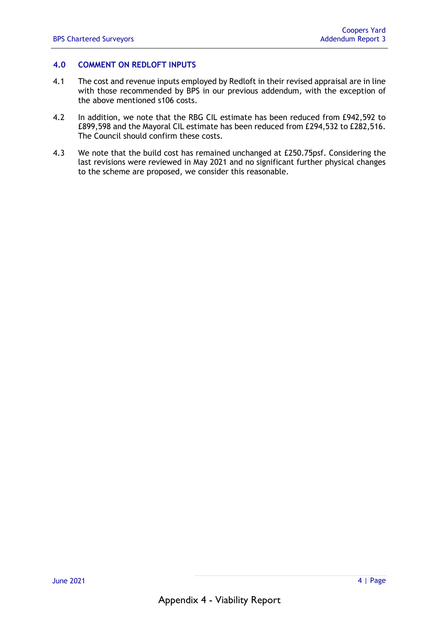#### **4.0 COMMENT ON REDLOFT INPUTS**

- 4.1 The cost and revenue inputs employed by Redloft in their revised appraisal are in line with those recommended by BPS in our previous addendum, with the exception of the above mentioned s106 costs.
- 4.2 In addition, we note that the RBG CIL estimate has been reduced from £942,592 to £899,598 and the Mayoral CIL estimate has been reduced from £294,532 to £282,516. The Council should confirm these costs.
- 4.3 We note that the build cost has remained unchanged at £250.75psf. Considering the last revisions were reviewed in May 2021 and no significant further physical changes to the scheme are proposed, we consider this reasonable.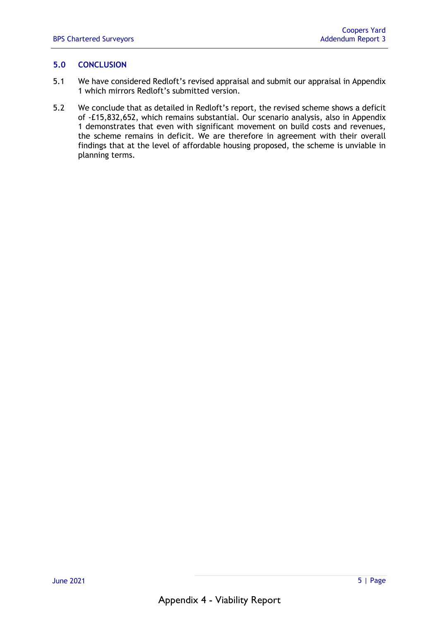### **5.0 CONCLUSION**

- 5.1 We have considered Redloft's revised appraisal and submit our appraisal in Appendix 1 which mirrors Redloft's submitted version.
- 5.2 We conclude that as detailed in Redloft's report, the revised scheme shows a deficit of -£15,832,652, which remains substantial. Our scenario analysis, also in Appendix 1 demonstrates that even with significant movement on build costs and revenues, the scheme remains in deficit. We are therefore in agreement with their overall findings that at the level of affordable housing proposed, the scheme is unviable in planning terms.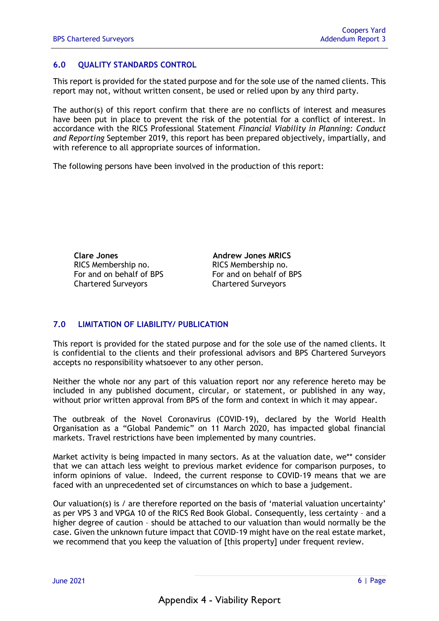### **6.0 QUALITY STANDARDS CONTROL**

This report is provided for the stated purpose and for the sole use of the named clients. This report may not, without written consent, be used or relied upon by any third party.

The author(s) of this report confirm that there are no conflicts of interest and measures have been put in place to prevent the risk of the potential for a conflict of interest. In accordance with the RICS Professional Statement *Financial Viability in Planning: Conduct and Reporting* September 2019, this report has been prepared objectively, impartially, and with reference to all appropriate sources of information.

The following persons have been involved in the production of this report:

**Clare Jones Andrew Jones MRICS**  RICS Membership no. 009561 RICS Membership no. For and on behalf of BPS For and on behalf of BPS Chartered Surveyors Chartered Surveyors

### **7.0 LIMITATION OF LIABILITY/ PUBLICATION**

This report is provided for the stated purpose and for the sole use of the named clients. It is confidential to the clients and their professional advisors and BPS Chartered Surveyors accepts no responsibility whatsoever to any other person.

Neither the whole nor any part of this valuation report nor any reference hereto may be included in any published document, circular, or statement, or published in any way, without prior written approval from BPS of the form and context in which it may appear.

The outbreak of the Novel Coronavirus (COVID-19), declared by the World Health Organisation as a "Global Pandemic" on 11 March 2020, has impacted global financial markets. Travel restrictions have been implemented by many countries.

Market activity is being impacted in many sectors. As at the valuation date, we\*\* consider that we can attach less weight to previous market evidence for comparison purposes, to inform opinions of value. Indeed, the current response to COVID-19 means that we are faced with an unprecedented set of circumstances on which to base a judgement.

Our valuation(s) is / are therefore reported on the basis of 'material valuation uncertainty' as per VPS 3 and VPGA 10 of the RICS Red Book Global. Consequently, less certainty – and a higher degree of caution – should be attached to our valuation than would normally be the case. Given the unknown future impact that COVID-19 might have on the real estate market, we recommend that you keep the valuation of [this property] under frequent review.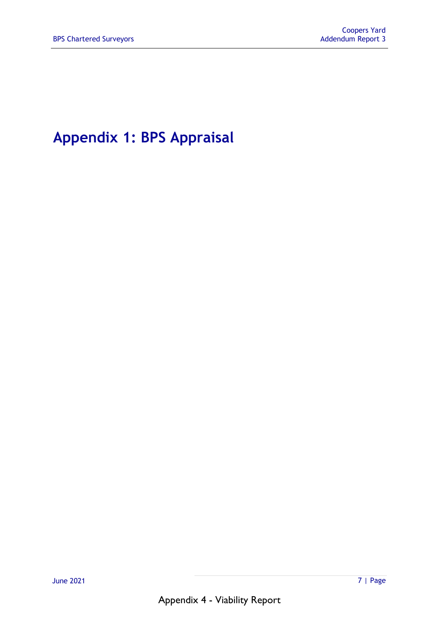# **Appendix 1: BPS Appraisal**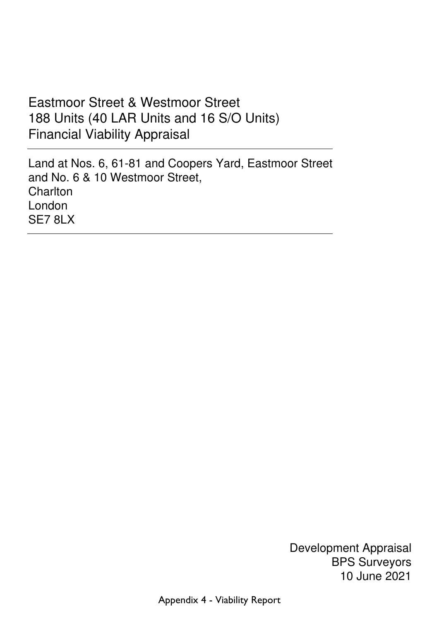# Eastmoor Street & Westmoor Street 188 Units (40 LAR Units and 16 S/O Units) Financial Viability Appraisal

 Land at Nos. 6, 61-81 and Coopers Yard, Eastmoor Street and No. 6 & 10 Westmoor Street, **Charlton**  London SE7 8LX

> Development Appraisal BPS Surveyors 10 June 2021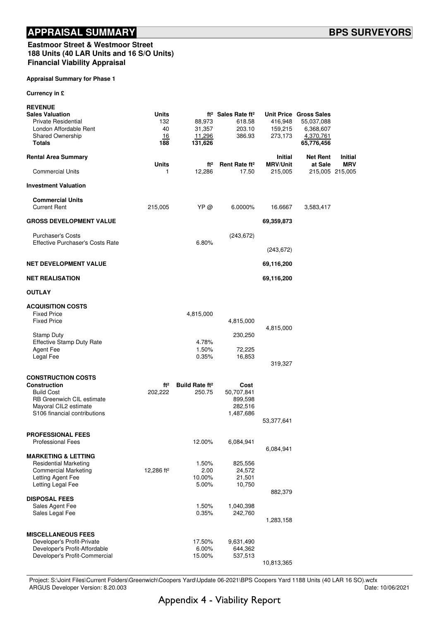#### Eastmoor Street & Westmoor Street 188 Units (40 LAR Units and 16 S/O Units) Financial Viability Appraisal

#### Appraisal Summary for Phase 1

Currency in £

| <b>REVENUE</b>                                       |                        |                                  |                                            |                                   |                            |                       |
|------------------------------------------------------|------------------------|----------------------------------|--------------------------------------------|-----------------------------------|----------------------------|-----------------------|
| <b>Sales Valuation</b>                               | Units                  |                                  | ft <sup>2</sup> Sales Rate ft <sup>2</sup> |                                   | Unit Price Gross Sales     |                       |
| <b>Private Residential</b>                           | 132                    | 88,973                           | 618.58                                     | 416,948                           | 55,037,088                 |                       |
| London Affordable Rent                               | 40                     | 31,357                           | 203.10                                     | 159,215                           | 6,368,607                  |                       |
| <b>Shared Ownership</b>                              | 16                     | 11,296                           | 386.93                                     | 273,173                           | 4,370,761                  |                       |
| <b>Totals</b>                                        | 188                    | 131,626                          |                                            |                                   | 65,776,456                 |                       |
| <b>Rental Area Summary</b>                           | Units                  | ft <sup>2</sup>                  | Rent Rate ft <sup>2</sup>                  | <b>Initial</b><br><b>MRV/Unit</b> | <b>Net Rent</b><br>at Sale | Initial<br><b>MRV</b> |
| <b>Commercial Units</b>                              | 1                      | 12,286                           | 17.50                                      | 215,005                           |                            | 215,005 215,005       |
| <b>Investment Valuation</b>                          |                        |                                  |                                            |                                   |                            |                       |
| <b>Commercial Units</b>                              |                        |                                  |                                            |                                   |                            |                       |
| <b>Current Rent</b>                                  | 215,005                | YP @                             | 6.0000%                                    | 16.6667                           | 3,583,417                  |                       |
|                                                      |                        |                                  |                                            |                                   |                            |                       |
| <b>GROSS DEVELOPMENT VALUE</b>                       |                        |                                  |                                            | 69,359,873                        |                            |                       |
| <b>Purchaser's Costs</b>                             |                        |                                  | (243, 672)                                 |                                   |                            |                       |
| <b>Effective Purchaser's Costs Rate</b>              |                        | 6.80%                            |                                            |                                   |                            |                       |
|                                                      |                        |                                  |                                            | (243, 672)                        |                            |                       |
| <b>NET DEVELOPMENT VALUE</b>                         |                        |                                  |                                            | 69,116,200                        |                            |                       |
| <b>NET REALISATION</b>                               |                        |                                  |                                            | 69,116,200                        |                            |                       |
| <b>OUTLAY</b>                                        |                        |                                  |                                            |                                   |                            |                       |
| <b>ACQUISITION COSTS</b>                             |                        |                                  |                                            |                                   |                            |                       |
| <b>Fixed Price</b>                                   |                        | 4,815,000                        |                                            |                                   |                            |                       |
| <b>Fixed Price</b>                                   |                        |                                  | 4,815,000                                  |                                   |                            |                       |
|                                                      |                        |                                  |                                            | 4,815,000                         |                            |                       |
| <b>Stamp Duty</b>                                    |                        |                                  | 230,250                                    |                                   |                            |                       |
| <b>Effective Stamp Duty Rate</b>                     |                        | 4.78%                            |                                            |                                   |                            |                       |
| <b>Agent Fee</b>                                     |                        | 1.50%                            | 72,225                                     |                                   |                            |                       |
| Legal Fee                                            |                        | 0.35%                            | 16,853                                     |                                   |                            |                       |
|                                                      |                        |                                  |                                            | 319,327                           |                            |                       |
| <b>CONSTRUCTION COSTS</b>                            |                        |                                  |                                            |                                   |                            |                       |
| <b>Construction</b>                                  | ft <sup>2</sup>        | <b>Build Rate ft<sup>2</sup></b> | Cost                                       |                                   |                            |                       |
| <b>Build Cost</b>                                    | 202,222                | 250.75                           | 50,707,841                                 |                                   |                            |                       |
| <b>RB Greenwich CIL estimate</b>                     |                        |                                  | 899,598                                    |                                   |                            |                       |
| Mayoral CIL2 estimate                                |                        |                                  | 282,516                                    |                                   |                            |                       |
| S106 financial contributions                         |                        |                                  | 1,487,686                                  |                                   |                            |                       |
|                                                      |                        |                                  |                                            | 53,377,641                        |                            |                       |
|                                                      |                        |                                  |                                            |                                   |                            |                       |
| <b>PROFESSIONAL FEES</b><br><b>Professional Fees</b> |                        | 12.00%                           | 6,084,941                                  |                                   |                            |                       |
|                                                      |                        |                                  |                                            | 6,084,941                         |                            |                       |
| <b>MARKETING &amp; LETTING</b>                       |                        |                                  |                                            |                                   |                            |                       |
| <b>Residential Marketing</b>                         |                        | 1.50%                            | 825,556                                    |                                   |                            |                       |
| <b>Commercial Marketing</b>                          | 12,286 ft <sup>2</sup> | 2.00                             | 24,572                                     |                                   |                            |                       |
| Letting Agent Fee                                    |                        | 10.00%                           | 21,501                                     |                                   |                            |                       |
| Letting Legal Fee                                    |                        | 5.00%                            | 10,750                                     |                                   |                            |                       |
|                                                      |                        |                                  |                                            | 882,379                           |                            |                       |
| <b>DISPOSAL FEES</b>                                 |                        |                                  |                                            |                                   |                            |                       |
| Sales Agent Fee                                      |                        | 1.50%                            | 1,040,398                                  |                                   |                            |                       |
| Sales Legal Fee                                      |                        | 0.35%                            | 242,760                                    | 1,283,158                         |                            |                       |
|                                                      |                        |                                  |                                            |                                   |                            |                       |
| <b>MISCELLANEOUS FEES</b>                            |                        |                                  |                                            |                                   |                            |                       |
| Developer's Profit-Private                           |                        | 17.50%                           | 9,631,490                                  |                                   |                            |                       |
| Developer's Profit-Affordable                        |                        | 6.00%                            | 644,362                                    |                                   |                            |                       |
| Developer's Profit-Commercial                        |                        | 15.00%                           | 537,513                                    |                                   |                            |                       |
|                                                      |                        |                                  |                                            | 10,813,365                        |                            |                       |

Project: S:\Joint Files\Current Folders\Greenwich\Coopers Yard\Update 06-2021\BPS Coopers Yard 1188 Units (40 LAR 16 SO).wcfx<br>Date: 10/06/2021 ARGUS Developer Version: 8.20.003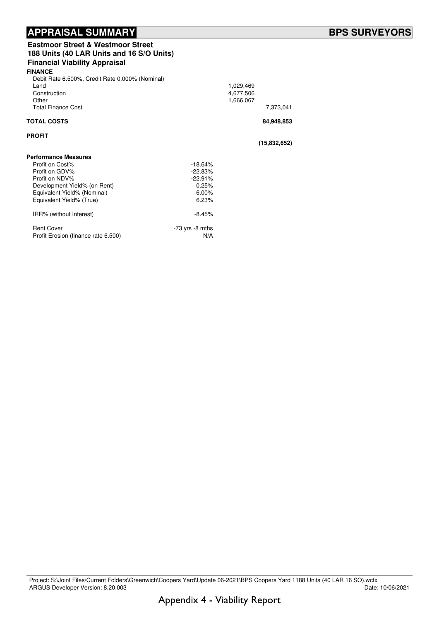## APPRAISAL SUMMARY **External of the SURVEYORS**

| <b>Eastmoor Street &amp; Westmoor Street</b><br>188 Units (40 LAR Units and 16 S/O Units)<br><b>Financial Viability Appraisal</b> |                     |                                     |              |  |
|-----------------------------------------------------------------------------------------------------------------------------------|---------------------|-------------------------------------|--------------|--|
| <b>FINANCE</b>                                                                                                                    |                     |                                     |              |  |
| Debit Rate 6.500%, Credit Rate 0.000% (Nominal)<br>Land<br>Construction<br>Other<br><b>Total Finance Cost</b>                     |                     | 1,029,469<br>4,677,506<br>1,666,067 | 7,373,041    |  |
| <b>TOTAL COSTS</b>                                                                                                                |                     |                                     | 84,948,853   |  |
| <b>PROFIT</b>                                                                                                                     |                     |                                     | (15,832,652) |  |
| <b>Performance Measures</b>                                                                                                       |                     |                                     |              |  |
| Profit on Cost%                                                                                                                   | $-18.64%$           |                                     |              |  |
| Profit on GDV%                                                                                                                    | $-22.83%$           |                                     |              |  |
| Profit on NDV%                                                                                                                    | $-22.91%$           |                                     |              |  |
| Development Yield% (on Rent)                                                                                                      | 0.25%               |                                     |              |  |
| Equivalent Yield% (Nominal)                                                                                                       | 6.00%               |                                     |              |  |
| Equivalent Yield% (True)                                                                                                          | 6.23%               |                                     |              |  |
| IRR% (without Interest)                                                                                                           | $-8.45%$            |                                     |              |  |
| <b>Rent Cover</b>                                                                                                                 | $-73$ yrs $-8$ mths |                                     |              |  |
| Profit Erosion (finance rate 6.500)                                                                                               | N/A                 |                                     |              |  |